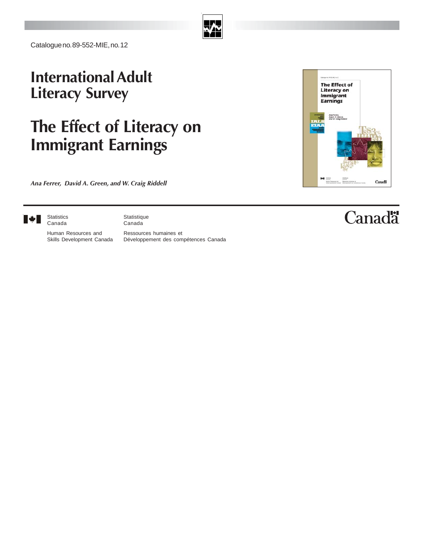

# **International Adult Literacy Survey**

# **The Effect of Literacy on Immigrant Earnings**

*Ana Ferrer, David A. Green, and W. Craig Riddell*





Statistics Statistique<br>
Statistique<br>
Canada Canada

Human Resources and Ressources humaines et

Skills Development Canada Développement des compétences Canada

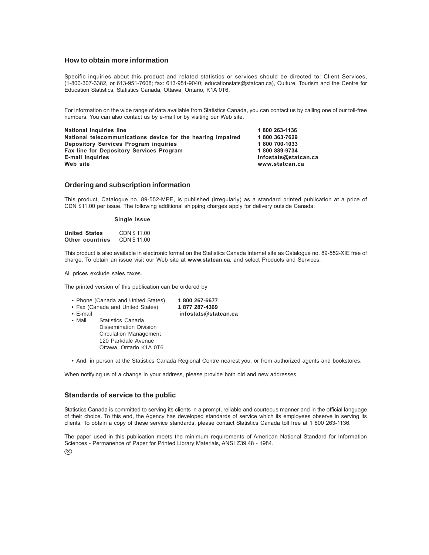#### **How to obtain more information**

Specific inquiries about this product and related statistics or services should be directed to: Client Services, (1-800-307-3382, or 613-951-7608; fax: 613-951-9040; educationstats@statcan.ca), Culture, Tourism and the Centre for Education Statistics, Statistics Canada, Ottawa, Ontario, K1A 0T6.

For information on the wide range of data available from Statistics Canada, you can contact us by calling one of our toll-free numbers. You can also contact us by e-mail or by visiting our Web site.

| National inquiries line                                     | 1800 263-1136        |
|-------------------------------------------------------------|----------------------|
| National telecommunications device for the hearing impaired | 1800 363-7629        |
| <b>Depository Services Program inquiries</b>                | 1800 700-1033        |
| Fax line for Depository Services Program                    | 1800889-9734         |
| <b>E-mail inquiries</b>                                     | infostats@statcan.ca |
| Web site                                                    | www.statcan.ca       |
|                                                             |                      |

#### **Ordering and subscription information**

This product, Catalogue no. 89-552-MPE, is published (irregularly) as a standard printed publication at a price of CDN \$11.00 per issue. The following additional shipping charges apply for delivery outside Canada:

#### **Single issue**

| <b>United States</b>   | CDN \$11.00 |
|------------------------|-------------|
| <b>Other countries</b> | CDN \$11.00 |

This product is also available in electronic format on the Statistics Canada Internet site as Catalogue no. 89-552-XIE free of charge. To obtain an issue visit our Web site at **www.statcan.ca**, and select Products and Services.

All prices exclude sales taxes.

The printed version of this publication can be ordered by

| $\bullet$ E-mail | • Phone (Canada and United States)<br>• Fax (Canada and United States)                                                                       | 1800 267-6677<br>1877 287-4369<br>infostats@statcan.ca |
|------------------|----------------------------------------------------------------------------------------------------------------------------------------------|--------------------------------------------------------|
| • Mail           | <b>Statistics Canada</b><br><b>Dissemination Division</b><br><b>Circulation Management</b><br>120 Parkdale Avenue<br>Ottawa, Ontario K1A 0T6 |                                                        |

• And, in person at the Statistics Canada Regional Centre nearest you, or from authorized agents and bookstores.

When notifying us of a change in your address, please provide both old and new addresses.

#### **Standards of service to the public**

Statistics Canada is committed to serving its clients in a prompt, reliable and courteous manner and in the official language of their choice. To this end, the Agency has developed standards of service which its employees observe in serving its clients. To obtain a copy of these service standards, please contact Statistics Canada toll free at 1 800 263-1136.

The paper used in this publication meets the minimum requirements of American National Standard for Information Sciences - Permanence of Paper for Printed Library Materials, ANSI Z39.48 - 1984. ∝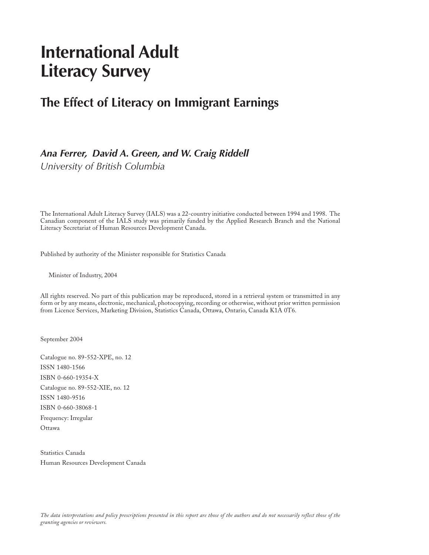# **International Adult Literacy Survey**

## **The Effect of Literacy on Immigrant Earnings**

### *Ana Ferrer, David A. Green, and W. Craig Riddell University of British Columbia*

The International Adult Literacy Survey (IALS) was a 22-country initiative conducted between 1994 and 1998. The Canadian component of the IALS study was primarily funded by the Applied Research Branch and the National Literacy Secretariat of Human Resources Development Canada.

Published by authority of the Minister responsible for Statistics Canada

Minister of Industry, 2004

All rights reserved. No part of this publication may be reproduced, stored in a retrieval system or transmitted in any form or by any means, electronic, mechanical, photocopying, recording or otherwise, without prior written permission from Licence Services, Marketing Division, Statistics Canada, Ottawa, Ontario, Canada K1A 0T6.

September 2004

Catalogue no. 89-552-XPE, no. 12 ISSN 1480-1566 ISBN 0-660-19354-X Catalogue no. 89-552-XIE, no. 12 ISSN 1480-9516 ISBN 0-660-38068-1 Frequency: Irregular Ottawa

Statistics Canada Human Resources Development Canada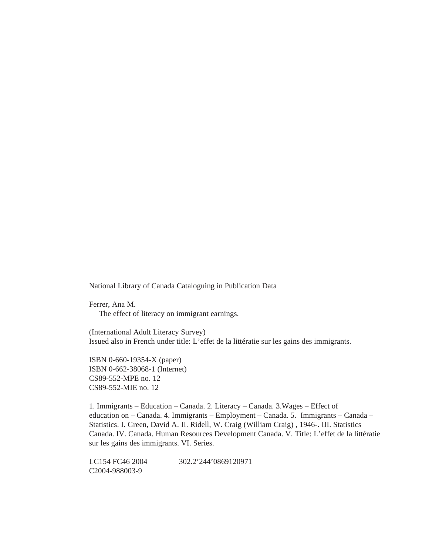National Library of Canada Cataloguing in Publication Data

Ferrer, Ana M. The effect of literacy on immigrant earnings.

(International Adult Literacy Survey) Issued also in French under title: L'effet de la littératie sur les gains des immigrants.

ISBN 0-660-19354-X (paper) ISBN 0-662-38068-1 (Internet) CS89-552-MPE no. 12 CS89-552-MIE no. 12

1. Immigrants – Education – Canada. 2. Literacy – Canada. 3.Wages – Effect of education on – Canada. 4. Immigrants – Employment – Canada. 5. Immigrants – Canada – Statistics. I. Green, David A. II. Ridell, W. Craig (William Craig) , 1946-. III. Statistics Canada. IV. Canada. Human Resources Development Canada. V. Title: L'effet de la littératie sur les gains des immigrants. VI. Series.

LC154 FC46 2004 302.2'244'0869120971 C2004-988003-9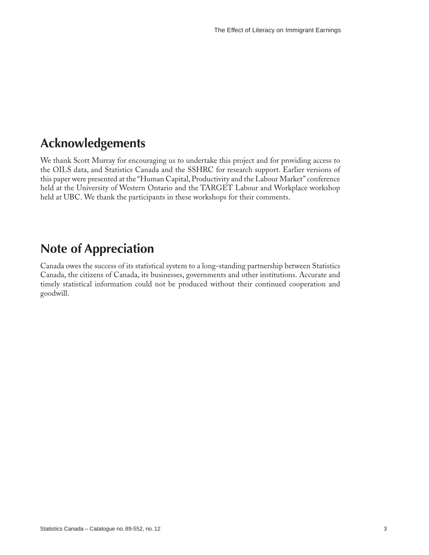## <span id="page-4-0"></span>**Acknowledgements**

We thank Scott Murray for encouraging us to undertake this project and for providing access to the OILS data, and Statistics Canada and the SSHRC for research support. Earlier versions of this paper were presented at the "Human Capital, Productivity and the Labour Market" conference held at the University of Western Ontario and the TARGET Labour and Workplace workshop held at UBC. We thank the participants in these workshops for their comments.

## **Note of Appreciation**

Canada owes the success of its statistical system to a long-standing partnership between Statistics Canada, the citizens of Canada, its businesses, governments and other institutions. Accurate and timely statistical information could not be produced without their continued cooperation and goodwill.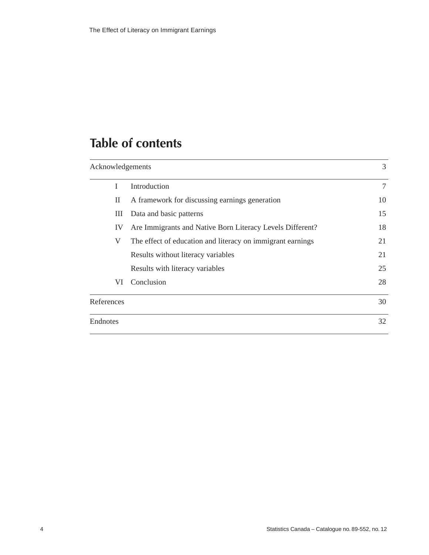## **Table of contents**

| Acknowledgements |                                                            | 3  |
|------------------|------------------------------------------------------------|----|
| L                | Introduction                                               | 7  |
| $\rm II$         | A framework for discussing earnings generation             | 10 |
| Ш                | Data and basic patterns                                    | 15 |
| IV               | Are Immigrants and Native Born Literacy Levels Different?  | 18 |
| V                | The effect of education and literacy on immigrant earnings | 21 |
|                  | Results without literacy variables                         | 21 |
|                  | Results with literacy variables                            | 25 |
|                  | VI Conclusion                                              | 28 |
| References       |                                                            | 30 |
| Endnotes         |                                                            | 32 |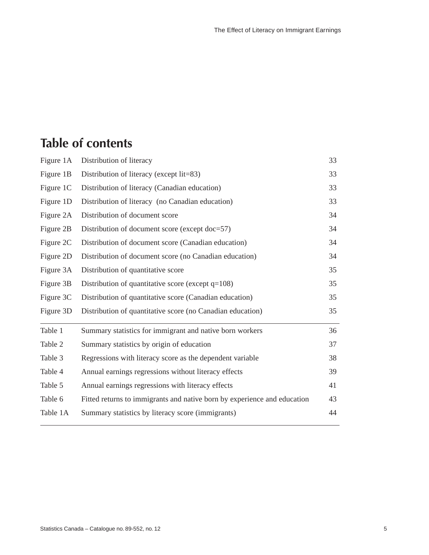## **Table of contents**

| Figure 1A | Distribution of literacy                                                 | 33 |
|-----------|--------------------------------------------------------------------------|----|
| Figure 1B | Distribution of literacy (except lit=83)                                 | 33 |
| Figure 1C | Distribution of literacy (Canadian education)                            | 33 |
| Figure 1D | Distribution of literacy (no Canadian education)                         | 33 |
| Figure 2A | Distribution of document score                                           | 34 |
| Figure 2B | Distribution of document score (except doc=57)                           | 34 |
| Figure 2C | Distribution of document score (Canadian education)                      | 34 |
| Figure 2D | Distribution of document score (no Canadian education)                   | 34 |
| Figure 3A | Distribution of quantitative score                                       | 35 |
| Figure 3B | Distribution of quantitative score (except $q=108$ )                     | 35 |
| Figure 3C | Distribution of quantitative score (Canadian education)                  | 35 |
| Figure 3D | Distribution of quantitative score (no Canadian education)               | 35 |
| Table 1   | Summary statistics for immigrant and native born workers                 | 36 |
| Table 2   | Summary statistics by origin of education                                | 37 |
| Table 3   | Regressions with literacy score as the dependent variable                | 38 |
| Table 4   | Annual earnings regressions without literacy effects                     | 39 |
| Table 5   | Annual earnings regressions with literacy effects                        | 41 |
| Table 6   | Fitted returns to immigrants and native born by experience and education | 43 |
| Table 1A  | Summary statistics by literacy score (immigrants)                        | 44 |
|           |                                                                          |    |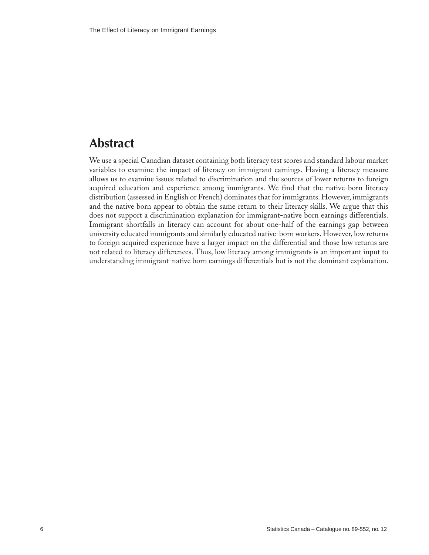## **Abstract**

We use a special Canadian dataset containing both literacy test scores and standard labour market variables to examine the impact of literacy on immigrant earnings. Having a literacy measure allows us to examine issues related to discrimination and the sources of lower returns to foreign acquired education and experience among immigrants. We find that the native-born literacy distribution (assessed in English or French) dominates that for immigrants. However, immigrants and the native born appear to obtain the same return to their literacy skills. We argue that this does not support a discrimination explanation for immigrant-native born earnings differentials. Immigrant shortfalls in literacy can account for about one-half of the earnings gap between university educated immigrants and similarly educated native-born workers. However, low returns to foreign acquired experience have a larger impact on the differential and those low returns are not related to literacy differences. Thus, low literacy among immigrants is an important input to understanding immigrant-native born earnings differentials but is not the dominant explanation.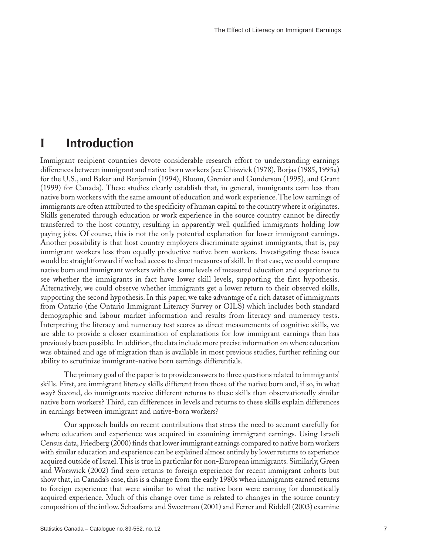### <span id="page-8-0"></span>**I Introduction**

Immigrant recipient countries devote considerable research effort to understanding earnings differences between immigrant and native-born workers (see Chiswick (1978), Borjas (1985, 1995a) for the U.S., and Baker and Benjamin (1994), Bloom, Grenier and Gunderson (1995), and Grant (1999) for Canada). These studies clearly establish that, in general, immigrants earn less than native born workers with the same amount of education and work experience. The low earnings of immigrants are often attributed to the specificity of human capital to the country where it originates. Skills generated through education or work experience in the source country cannot be directly transferred to the host country, resulting in apparently well qualified immigrants holding low paying jobs. Of course, this is not the only potential explanation for lower immigrant earnings. Another possibility is that host country employers discriminate against immigrants, that is, pay immigrant workers less than equally productive native born workers. Investigating these issues would be straightforward if we had access to direct measures of skill. In that case, we could compare native born and immigrant workers with the same levels of measured education and experience to see whether the immigrants in fact have lower skill levels, supporting the first hypothesis. Alternatively, we could observe whether immigrants get a lower return to their observed skills, supporting the second hypothesis. In this paper, we take advantage of a rich dataset of immigrants from Ontario (the Ontario Immigrant Literacy Survey or OILS) which includes both standard demographic and labour market information and results from literacy and numeracy tests. Interpreting the literacy and numeracy test scores as direct measurements of cognitive skills, we are able to provide a closer examination of explanations for low immigrant earnings than has previously been possible. In addition, the data include more precise information on where education was obtained and age of migration than is available in most previous studies, further refining our ability to scrutinize immigrant-native born earnings differentials.

The primary goal of the paper is to provide answers to three questions related to immigrants' skills. First, are immigrant literacy skills different from those of the native born and, if so, in what way? Second, do immigrants receive different returns to these skills than observationally similar native born workers? Third, can differences in levels and returns to these skills explain differences in earnings between immigrant and native-born workers?

Our approach builds on recent contributions that stress the need to account carefully for where education and experience was acquired in examining immigrant earnings. Using Israeli Census data, Friedberg (2000) finds that lower immigrant earnings compared to native born workers with similar education and experience can be explained almost entirely by lower returns to experience acquired outside of Israel. This is true in particular for non-European immigrants. Similarly, Green and Worswick (2002) find zero returns to foreign experience for recent immigrant cohorts but show that, in Canada's case, this is a change from the early 1980s when immigrants earned returns to foreign experience that were similar to what the native born were earning for domestically acquired experience. Much of this change over time is related to changes in the source country composition of the inflow. Schaafsma and Sweetman (2001) and Ferrer and Riddell (2003) examine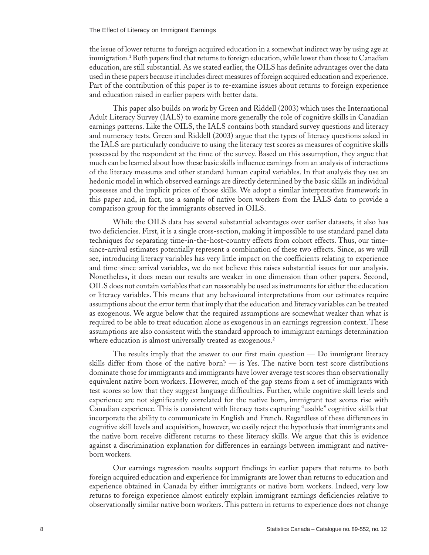the issue of lower returns to foreign acquired education in a somewhat indirect way by using age at immigration.<sup>1</sup> Both papers find that returns to foreign education, while lower than those to Canadian education, are still substantial. As we stated earlier, the OILS has definite advantages over the data used in these papers because it includes direct measures of foreign acquired education and experience. Part of the contribution of this paper is to re-examine issues about returns to foreign experience and education raised in earlier papers with better data.

This paper also builds on work by Green and Riddell (2003) which uses the International Adult Literacy Survey (IALS) to examine more generally the role of cognitive skills in Canadian earnings patterns. Like the OILS, the IALS contains both standard survey questions and literacy and numeracy tests. Green and Riddell (2003) argue that the types of literacy questions asked in the IALS are particularly conducive to using the literacy test scores as measures of cognitive skills possessed by the respondent at the time of the survey. Based on this assumption, they argue that much can be learned about how these basic skills influence earnings from an analysis of interactions of the literacy measures and other standard human capital variables. In that analysis they use an hedonic model in which observed earnings are directly determined by the basic skills an individual possesses and the implicit prices of those skills. We adopt a similar interpretative framework in this paper and, in fact, use a sample of native born workers from the IALS data to provide a comparison group for the immigrants observed in OILS.

While the OILS data has several substantial advantages over earlier datasets, it also has two deficiencies. First, it is a single cross-section, making it impossible to use standard panel data techniques for separating time-in-the-host-country effects from cohort effects. Thus, our timesince-arrival estimates potentially represent a combination of these two effects. Since, as we will see, introducing literacy variables has very little impact on the coefficients relating to experience and time-since-arrival variables, we do not believe this raises substantial issues for our analysis. Nonetheless, it does mean our results are weaker in one dimension than other papers. Second, OILS does not contain variables that can reasonably be used as instruments for either the education or literacy variables. This means that any behavioural interpretations from our estimates require assumptions about the error term that imply that the education and literacy variables can be treated as exogenous. We argue below that the required assumptions are somewhat weaker than what is required to be able to treat education alone as exogenous in an earnings regression context. These assumptions are also consistent with the standard approach to immigrant earnings determination where education is almost universally treated as exogenous.<sup>2</sup>

The results imply that the answer to our first main question — Do immigrant literacy skills differ from those of the native born? — is Yes. The native born test score distributions dominate those for immigrants and immigrants have lower average test scores than observationally equivalent native born workers. However, much of the gap stems from a set of immigrants with test scores so low that they suggest language difficulties. Further, while cognitive skill levels and experience are not significantly correlated for the native born, immigrant test scores rise with Canadian experience. This is consistent with literacy tests capturing "usable" cognitive skills that incorporate the ability to communicate in English and French. Regardless of these differences in cognitive skill levels and acquisition, however, we easily reject the hypothesis that immigrants and the native born receive different returns to these literacy skills. We argue that this is evidence against a discrimination explanation for differences in earnings between immigrant and nativeborn workers.

Our earnings regression results support findings in earlier papers that returns to both foreign acquired education and experience for immigrants are lower than returns to education and experience obtained in Canada by either immigrants or native born workers. Indeed, very low returns to foreign experience almost entirely explain immigrant earnings deficiencies relative to observationally similar native born workers. This pattern in returns to experience does not change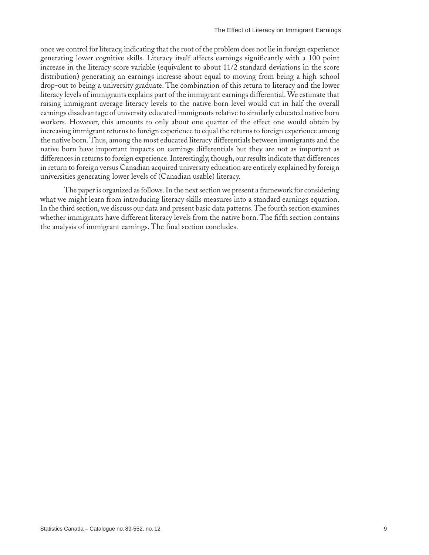once we control for literacy, indicating that the root of the problem does not lie in foreign experience generating lower cognitive skills. Literacy itself affects earnings significantly with a 100 point increase in the literacy score variable (equivalent to about 11/2 standard deviations in the score distribution) generating an earnings increase about equal to moving from being a high school drop-out to being a university graduate. The combination of this return to literacy and the lower literacy levels of immigrants explains part of the immigrant earnings differential. We estimate that raising immigrant average literacy levels to the native born level would cut in half the overall earnings disadvantage of university educated immigrants relative to similarly educated native born workers. However, this amounts to only about one quarter of the effect one would obtain by increasing immigrant returns to foreign experience to equal the returns to foreign experience among the native born. Thus, among the most educated literacy differentials between immigrants and the native born have important impacts on earnings differentials but they are not as important as differences in returns to foreign experience. Interestingly, though, our results indicate that differences in return to foreign versus Canadian acquired university education are entirely explained by foreign universities generating lower levels of (Canadian usable) literacy.

The paper is organized as follows. In the next section we present a framework for considering what we might learn from introducing literacy skills measures into a standard earnings equation. In the third section, we discuss our data and present basic data patterns. The fourth section examines whether immigrants have different literacy levels from the native born. The fifth section contains the analysis of immigrant earnings. The final section concludes.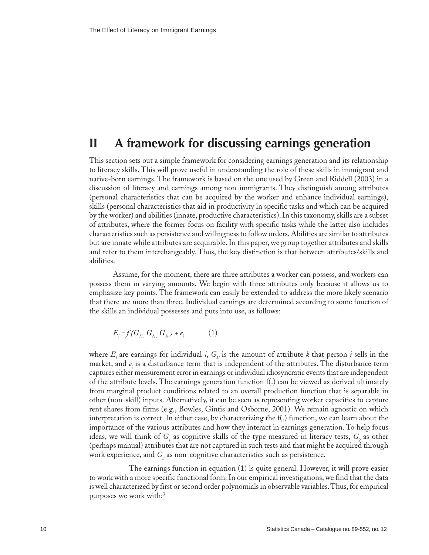### <span id="page-11-0"></span>**II A framework for discussing earnings generation**

This section sets out a simple framework for considering earnings generation and its relationship to literacy skills. This will prove useful in understanding the role of these skills in immigrant and native-born earnings. The framework is based on the one used by Green and Riddell (2003) in a discussion of literacy and earnings among non-immigrants. They distinguish among attributes (personal characteristics that can be acquired by the worker and enhance individual earnings), skills (personal characteristics that aid in productivity in specific tasks and which can be acquired by the worker) and abilities (innate, productive characteristics). In this taxonomy, skills are a subset of attributes, where the former focus on facility with specific tasks while the latter also includes characteristics such as persistence and willingness to follow orders. Abilities are similar to attributes but are innate while attributes are acquirable. In this paper, we group together attributes and skills and refer to them interchangeably. Thus, the key distinction is that between attributes/skills and abilities.

Assume, for the moment, there are three attributes a worker can possess, and workers can possess them in varying amounts. We begin with three attributes only because it allows us to emphasize key points. The framework can easily be extended to address the more likely scenario that there are more than three. Individual earnings are determined according to some function of the skills an individual possesses and puts into use, as follows:

$$
E_i = f(G_{1i}, G_{2i}, G_{3i}) + e_i \tag{1}
$$

where  $E_i$  are earnings for individual *i*,  $G_k$  is the amount of attribute *k* that person *i* sells in the market, and  $e_i$  is a disturbance term that is independent of the attributes. The disturbance term captures either measurement error in earnings or individual idiosyncratic events that are independent of the attribute levels. The earnings generation function f(.) can be viewed as derived ultimately from marginal product conditions related to an overall production function that is separable in other (non-skill) inputs. Alternatively, it can be seen as representing worker capacities to capture rent shares from firms (e.g., Bowles, Gintis and Osborne, 2001). We remain agnostic on which interpretation is correct. In either case, by characterizing the f(.) function, we can learn about the importance of the various attributes and how they interact in earnings generation. To help focus ideas, we will think of  $G_{_I}$  as cognitive skills of the type measured in literacy tests,  $G_{_2}$  as other (perhaps manual) attributes that are not captured in such tests and that might be acquired through work experience, and  $G_{\scriptscriptstyle\beta}$  as non-cognitive characteristics such as persistence.

The earnings function in equation (1) is quite general. However, it will prove easier to work with a more specific functional form. In our empirical investigations, we find that the data is well characterized by first or second order polynomials in observable variables. Thus, for empirical purposes we work with:3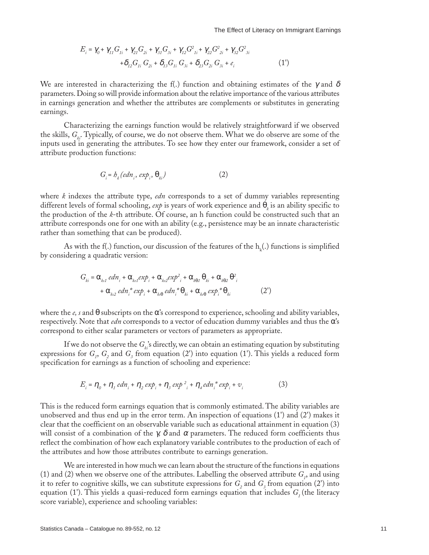$$
E_{i} = \gamma_{0} + \gamma_{11} G_{1i} + \gamma_{21} G_{2i} + \gamma_{31} G_{3i} + \gamma_{12} G_{1i}^{2} + \gamma_{22} G_{2i}^{2} + \gamma_{32} G_{3i}^{2}
$$

$$
+ \delta_{12} G_{1i} G_{2i} + \delta_{13} G_{1i} G_{3i} + \delta_{23} G_{2i} G_{3i} + e_{i}
$$
(1')

We are interested in characterizing the f(.) function and obtaining estimates of the  $\gamma$  and  $\delta$ parameters. Doing so will provide information about the relative importance of the various attributes in earnings generation and whether the attributes are complements or substitutes in generating earnings.

Characterizing the earnings function would be relatively straightforward if we observed the skills,  $G_{i}$ . Typically, of course, we do not observe them. What we do observe are some of the inputs used in generating the attributes. To see how they enter our framework, consider a set of attribute production functions:

$$
G_i = b_k (edn_i, exp_i, \theta_{ki})
$$
 (2)

where *k* indexes the attribute type, *edn* corresponds to a set of dummy variables representing different levels of formal schooling,  $exp$  is years of work experience and  $\theta_k$  is an ability specific to the production of the *k*-th attribute. Of course, an h function could be constructed such that an attribute corresponds one for one with an ability (e.g., persistence may be an innate characteristic rather than something that can be produced).

As with the f(.) function, our discussion of the features of the  $h_k(.)$  functions is simplified by considering a quadratic version:

$$
G_{ki} = \alpha_{ks1} \, edn_i + \alpha_{ks2} \exp_i + \alpha_{ks2} \exp^2_i + \alpha_{k\theta1} \theta_{ki} + \alpha_{k\theta2} \theta^2_i
$$
  
+ 
$$
\alpha_{ks2} \, edn_i^* \exp_i + \alpha_{ks\theta} \, edn_i^* \theta_{ki} + \alpha_{k\theta} \, exp_i^* \theta_{ki}
$$
 (2')

where the *e, s* and θ subscripts on the α's correspond to experience, schooling and ability variables, respectively. Note that *edn* corresponds to a vector of education dummy variables and thus the α's correspond to either scalar parameters or vectors of parameters as appropriate.

If we do not observe the  $G_k$ 's directly, we can obtain an estimating equation by substituting expressions for  $G_i$ ,  $G_2$  and  $G_3$  from equation (2') into equation (1'). This yields a reduced form specification for earnings as a function of schooling and experience:

$$
E_i = \eta_o + \eta_I e d n_i + \eta_2 e x p_i + \eta_3 e x p_i^2 + \eta_4 e d n_i^* e x p_i + v_i
$$
 (3)

This is the reduced form earnings equation that is commonly estimated. The ability variables are unobserved and thus end up in the error term. An inspection of equations (1') and (2') makes it clear that the coefficient on an observable variable such as educational attainment in equation (3) will consist of a combination of the  $\gamma$   $\delta$  and  $\alpha$  parameters. The reduced form coefficients thus reflect the combination of how each explanatory variable contributes to the production of each of the attributes and how those attributes contribute to earnings generation.

We are interested in how much we can learn about the structure of the functions in equations (1) and (2) when we observe one of the attributes. Labelling the observed attribute  $G_i$ , and using it to refer to cognitive skills, we can substitute expressions for  $G_{_2}$  and  $G_{_3}$  from equation (2') into equation (1'). This yields a quasi-reduced form earnings equation that includes  $G_i$  (the literacy score variable), experience and schooling variables: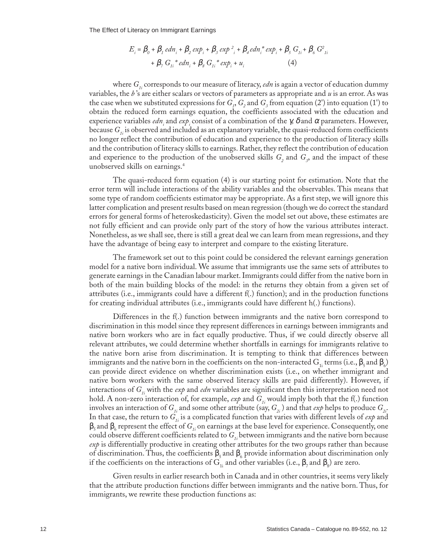$$
E_i = \beta_0 + \beta_1 \, edn_i + \beta_2 \, exp_i + \beta_3 \, exp^{2} + \beta_4 \, edn_i^* \, exp_i + \beta_5 \, G_{ii} + \beta_6 \, G_{ii}^2
$$
  
+  $\beta_7 \, G_{ii}^* \, edn_i + \beta_8 \, G_{ii}^* \, exp_i + u_i$  (4)

where  $G_i$  corresponds to our measure of literacy, *edn* is again a vector of education dummy variables, the *b* 's are either scalars or vectors of parameters as appropriate and *u* is an error. As was the case when we substituted expressions for  $G_j$ ,  $G_j$  and  $G_j$  from equation (2') into equation (1') to obtain the reduced form earnings equation, the coefficients associated with the education and experience variables *edn*<sub>*i*</sub> and *exp<sub>i</sub>* consist of a combination of the  $\gamma$ ,  $\delta$  and  $\alpha$  parameters. However, because *G1i* is observed and included as an explanatory variable, the quasi-reduced form coefficients no longer reflect the contribution of education and experience to the production of literacy skills and the contribution of literacy skills to earnings. Rather, they reflect the contribution of education and experience to the production of the unobserved skills  $G_2$  and  $G_3$ , and the impact of these unobserved skills on earnings.4

The quasi-reduced form equation (4) is our starting point for estimation. Note that the error term will include interactions of the ability variables and the observables. This means that some type of random coefficients estimator may be appropriate. As a first step, we will ignore this latter complication and present results based on mean regression (though we do correct the standard errors for general forms of heteroskedasticity). Given the model set out above, these estimates are not fully efficient and can provide only part of the story of how the various attributes interact. Nonetheless, as we shall see, there is still a great deal we can learn from mean regressions, and they have the advantage of being easy to interpret and compare to the existing literature.

The framework set out to this point could be considered the relevant earnings generation model for a native born individual. We assume that immigrants use the same sets of attributes to generate earnings in the Canadian labour market. Immigrants could differ from the native born in both of the main building blocks of the model: in the returns they obtain from a given set of attributes (i.e., immigrants could have a different f(.) function); and in the production functions for creating individual attributes (i.e., immigrants could have different h(.) functions).

Differences in the f(.) function between immigrants and the native born correspond to discrimination in this model since they represent differences in earnings between immigrants and native born workers who are in fact equally productive. Thus, if we could directly observe all relevant attributes, we could determine whether shortfalls in earnings for immigrants relative to the native born arise from discrimination. It is tempting to think that differences between immigrants and the native born in the coefficients on the non-interacted  $G_{_{1i}}$  terms (i.e.,  $\beta_{_5}$  and  $\beta_{_6}$ ) can provide direct evidence on whether discrimination exists (i.e., on whether immigrant and native born workers with the same observed literacy skills are paid differently). However, if interactions of  $G_{1i}$  with the *exp* and *edn* variables are significant then this interpretation need not hold. A non-zero interaction of, for example,  $exp$  and  $G_{1i}$  would imply both that the f(.) function involves an interaction of  $G_i$  and some other attribute (say,  $G_{i}$ ) and that *exp* helps to produce  $G_{i}$ . In that case, the return to  $G_i$  is a complicated function that varies with different levels of *exp* and  $\beta_5$  and  $\beta_6$  represent the effect of  $G_{1i}$  on earnings at the base level for experience. Consequently, one could observe different coefficients related to  $G_i$  between immigrants and the native born because *exp* is differentially productive in creating other attributes for the two groups rather than because of discrimination. Thus, the coefficients  $\beta_5$  and  $\beta_6$  provide information about discrimination only if the coefficients on the interactions of  $G_{1i}$  and other variables (i.e.,  $\beta_7$  and  $\beta_8$ ) are zero.

Given results in earlier research both in Canada and in other countries, it seems very likely that the attribute production functions differ between immigrants and the native born. Thus, for immigrants, we rewrite these production functions as: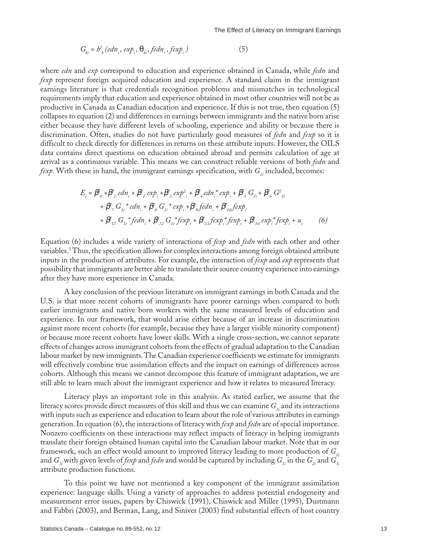$$
G_{ki} = b_{ik}^{I} (edn_{i}, exp_{i}, \theta_{ki}, fedn_{i}, fexp_{i})
$$
\n
$$
\tag{5}
$$

where *edn* and *exp* correspond to education and experience obtained in Canada, while *fedn* and *fexp* represent foreign acquired education and experience. A standard claim in the immigrant earnings literature is that credentials recognition problems and mismatches in technological requirements imply that education and experience obtained in most other countries will not be as productive in Canada as Canadian education and experience. If this is not true, then equation (5) collapses to equation (2) and differences in earnings between immigrants and the native born arise either because they have different levels of schooling, experience and ability or because there is discrimination. Often, studies do not have particularly good measures of *fedn* and *fexp* so it is difficult to check directly for differences in returns on these attribute inputs. However, the OILS data contains direct questions on education obtained abroad and permits calculation of age at arrival as a continuous variable. This means we can construct reliable versions of both *fedn* and *fexp*. With these in hand, the immigrant earnings specification, with  $G_i$  included, becomes:

$$
E_{i} = \beta_{0}^{I} + \beta_{1}^{I} e d n_{i} + \beta_{2}^{I} e x p_{i} + \beta_{3}^{I} e x p_{i}^{2} + \beta_{4}^{I} e d n_{i}^{*} e x p_{i} + \beta_{5}^{I} G_{1i} + \beta_{6}^{I} G_{2i}^{2} + \beta_{7}^{I} G_{1i}^{*} e d n_{i} + \beta_{8}^{I} G_{1i}^{*} e x p_{i} + \beta_{9}^{I} f e d n_{i} + \beta_{10}^{I} f e x p_{i} + \beta_{11}^{I} G_{1i}^{*} f e d n_{i} + \beta_{12}^{I} G_{1i}^{*} f e x p_{i} + \beta_{13}^{I} f e x p_{i}^{*} f e x p_{i} + \beta_{14}^{I} e x p_{i}^{*} f e x p_{i} + u_{i}
$$
 (6)

Equation (6) includes a wide variety of interactions of *fexp* and *fedn* with each other and other variables.5 Thus, the specification allows for complex interactions among foreign obtained attribute inputs in the production of attributes. For example, the interaction of *fexp* and *exp* represents that possibility that immigrants are better able to translate their source country experience into earnings after they have more experience in Canada.

A key conclusion of the previous literature on immigrant earnings in both Canada and the U.S. is that more recent cohorts of immigrants have poorer earnings when compared to both earlier immigrants and native born workers with the same measured levels of education and experience. In our framework, that would arise either because of an increase in discrimination against more recent cohorts (for example, because they have a larger visible minority component) or because more recent cohorts have lower skills. With a single cross-section, we cannot separate effects of changes across immigrant cohorts from the effects of gradual adaptation to the Canadian labour market by new immigrants. The Canadian experience coefficients we estimate for immigrants will effectively combine true assimilation effects and the impact on earnings of differences across cohorts. Although this means we cannot decompose this feature of immigrant adaptation, we are still able to learn much about the immigrant experience and how it relates to measured literacy.

Literacy plays an important role in this analysis. As stated earlier, we assume that the literacy scores provide direct measures of this skill and thus we can examine  $G_i$  and its interactions with inputs such as experience and education to learn about the role of various attributes in earnings generation. In equation (6), the interactions of literacy with *fexp* and *fedn* are of special importance. Nonzero coefficients on these interactions may reflect impacts of literacy in helping immigrants translate their foreign obtained human capital into the Canadian labour market. Note that in our framework, such an effect would amount to improved literacy leading to more production of  $G_{2i}$ and  $G_{3i}$  with given levels of *fexp* and *fedn* and would be captured by including  $G_{1i}$  in the  $G_{2i}$  and  $G_{3i}$ attribute production functions.

To this point we have not mentioned a key component of the immigrant assimilation experience: language skills. Using a variety of approaches to address potential endogeneity and measurement error issues, papers by Chiswick (1991), Chiswick and Miller (1995), Dustmann and Fabbri (2003), and Berman, Lang, and Siniver (2003) find substantial effects of host country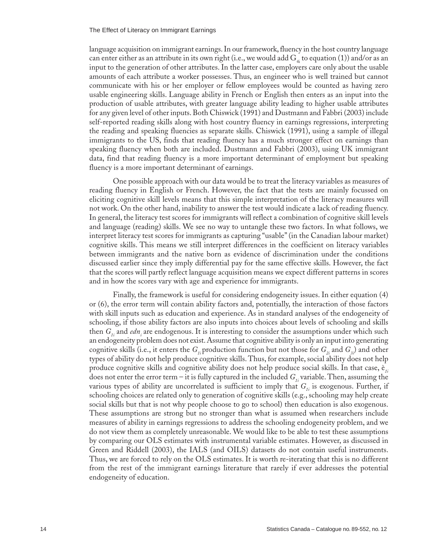language acquisition on immigrant earnings. In our framework, fluency in the host country language can enter either as an attribute in its own right (i.e., we would add  $G_4$  to equation (1)) and/or as an input to the generation of other attributes. In the latter case, employers care only about the usable amounts of each attribute a worker possesses. Thus, an engineer who is well trained but cannot communicate with his or her employer or fellow employees would be counted as having zero usable engineering skills. Language ability in French or English then enters as an input into the production of usable attributes, with greater language ability leading to higher usable attributes for any given level of other inputs. Both Chiswick (1991) and Dustmann and Fabbri (2003) include self-reported reading skills along with host country fluency in earnings regressions, interpreting the reading and speaking fluencies as separate skills. Chiswick (1991), using a sample of illegal immigrants to the US, finds that reading fluency has a much stronger effect on earnings than speaking fluency when both are included. Dustmann and Fabbri (2003), using UK immigrant data, find that reading fluency is a more important determinant of employment but speaking fluency is a more important determinant of earnings.

One possible approach with our data would be to treat the literacy variables as measures of reading fluency in English or French. However, the fact that the tests are mainly focussed on eliciting cognitive skill levels means that this simple interpretation of the literacy measures will not work. On the other hand, inability to answer the test would indicate a lack of reading fluency. In general, the literacy test scores for immigrants will reflect a combination of cognitive skill levels and language (reading) skills. We see no way to untangle these two factors. In what follows, we interpret literacy test scores for immigrants as capturing "usable" (in the Canadian labour market) cognitive skills. This means we still interpret differences in the coefficient on literacy variables between immigrants and the native born as evidence of discrimination under the conditions discussed earlier since they imply differential pay for the same effective skills. However, the fact that the scores will partly reflect language acquisition means we expect different patterns in scores and in how the scores vary with age and experience for immigrants.

Finally, the framework is useful for considering endogeneity issues. In either equation (4) or (6), the error term will contain ability factors and, potentially, the interaction of those factors with skill inputs such as education and experience. As in standard analyses of the endogeneity of schooling, if those ability factors are also inputs into choices about levels of schooling and skills then *G<sub>1</sub>* and *edn*<sub>*i*</sub> are endogenous. It is interesting to consider the assumptions under which such an endogeneity problem does not exist. Assume that cognitive ability is only an input into generating cognitive skills (i.e., it enters the  $G_i$  production function but not those for  $G_i$  and  $G_j$ ) and other types of ability do not help produce cognitive skills. Thus, for example, social ability does not help produce cognitive skills and cognitive ability does not help produce social skills. In that case, è*1i* does not enter the error term – it is fully captured in the included  $G_i$  variable. Then, assuming the various types of ability are uncorrelated is sufficient to imply that  $G_i$  is exogenous. Further, if schooling choices are related only to generation of cognitive skills (e.g., schooling may help create social skills but that is not why people choose to go to school) then education is also exogenous. These assumptions are strong but no stronger than what is assumed when researchers include measures of ability in earnings regressions to address the schooling endogeneity problem, and we do not view them as completely unreasonable. We would like to be able to test these assumptions by comparing our OLS estimates with instrumental variable estimates. However, as discussed in Green and Riddell (2003), the IALS (and OILS) datasets do not contain useful instruments. Thus, we are forced to rely on the OLS estimates. It is worth re-iterating that this is no different from the rest of the immigrant earnings literature that rarely if ever addresses the potential endogeneity of education.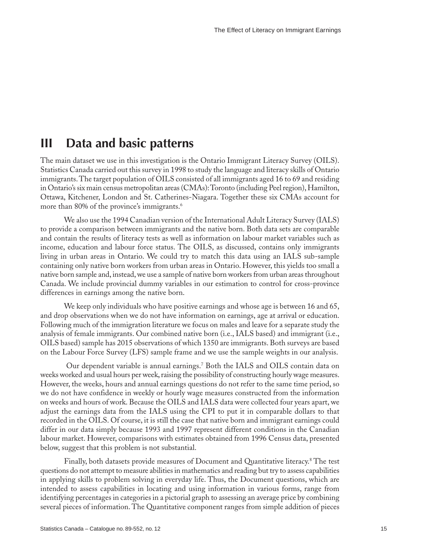### <span id="page-16-0"></span>**III Data and basic patterns**

The main dataset we use in this investigation is the Ontario Immigrant Literacy Survey (OILS). Statistics Canada carried out this survey in 1998 to study the language and literacy skills of Ontario immigrants. The target population of OILS consisted of all immigrants aged 16 to 69 and residing in Ontario's six main census metropolitan areas (CMAs): Toronto (including Peel region), Hamilton, Ottawa, Kitchener, London and St. Catherines-Niagara. Together these six CMAs account for more than 80% of the province's immigrants.<sup>6</sup>

We also use the 1994 Canadian version of the International Adult Literacy Survey (IALS) to provide a comparison between immigrants and the native born. Both data sets are comparable and contain the results of literacy tests as well as information on labour market variables such as income, education and labour force status. The OILS, as discussed, contains only immigrants living in urban areas in Ontario. We could try to match this data using an IALS sub-sample containing only native born workers from urban areas in Ontario. However, this yields too small a native born sample and, instead, we use a sample of native born workers from urban areas throughout Canada. We include provincial dummy variables in our estimation to control for cross-province differences in earnings among the native born.

We keep only individuals who have positive earnings and whose age is between 16 and 65, and drop observations when we do not have information on earnings, age at arrival or education. Following much of the immigration literature we focus on males and leave for a separate study the analysis of female immigrants. Our combined native born (i.e., IALS based) and immigrant (i.e., OILS based) sample has 2015 observations of which 1350 are immigrants. Both surveys are based on the Labour Force Survey (LFS) sample frame and we use the sample weights in our analysis.

 Our dependent variable is annual earnings.7 Both the IALS and OILS contain data on weeks worked and usual hours per week, raising the possibility of constructing hourly wage measures. However, the weeks, hours and annual earnings questions do not refer to the same time period, so we do not have confidence in weekly or hourly wage measures constructed from the information on weeks and hours of work. Because the OILS and IALS data were collected four years apart, we adjust the earnings data from the IALS using the CPI to put it in comparable dollars to that recorded in the OILS. Of course, it is still the case that native born and immigrant earnings could differ in our data simply because 1993 and 1997 represent different conditions in the Canadian labour market. However, comparisons with estimates obtained from 1996 Census data, presented below, suggest that this problem is not substantial.

Finally, both datasets provide measures of Document and Quantitative literacy.8 The test questions do not attempt to measure abilities in mathematics and reading but try to assess capabilities in applying skills to problem solving in everyday life. Thus, the Document questions, which are intended to assess capabilities in locating and using information in various forms, range from identifying percentages in categories in a pictorial graph to assessing an average price by combining several pieces of information. The Quantitative component ranges from simple addition of pieces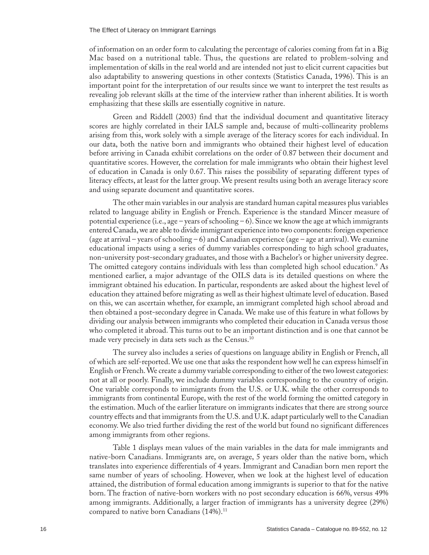of information on an order form to calculating the percentage of calories coming from fat in a Big Mac based on a nutritional table. Thus, the questions are related to problem-solving and implementation of skills in the real world and are intended not just to elicit current capacities but also adaptability to answering questions in other contexts (Statistics Canada, 1996). This is an important point for the interpretation of our results since we want to interpret the test results as revealing job relevant skills at the time of the interview rather than inherent abilities. It is worth emphasizing that these skills are essentially cognitive in nature.

Green and Riddell (2003) find that the individual document and quantitative literacy scores are highly correlated in their IALS sample and, because of multi-collinearity problems arising from this, work solely with a simple average of the literacy scores for each individual. In our data, both the native born and immigrants who obtained their highest level of education before arriving in Canada exhibit correlations on the order of 0.87 between their document and quantitative scores. However, the correlation for male immigrants who obtain their highest level of education in Canada is only 0.67. This raises the possibility of separating different types of literacy effects, at least for the latter group. We present results using both an average literacy score and using separate document and quantitative scores.

The other main variables in our analysis are standard human capital measures plus variables related to language ability in English or French. Experience is the standard Mincer measure of potential experience (i.e., age – years of schooling – 6). Since we know the age at which immigrants entered Canada, we are able to divide immigrant experience into two components: foreign experience (age at arrival – years of schooling – 6) and Canadian experience (age – age at arrival). We examine educational impacts using a series of dummy variables corresponding to high school graduates, non-university post-secondary graduates, and those with a Bachelor's or higher university degree. The omitted category contains individuals with less than completed high school education.<sup>9</sup> As mentioned earlier, a major advantage of the OILS data is its detailed questions on where the immigrant obtained his education. In particular, respondents are asked about the highest level of education they attained before migrating as well as their highest ultimate level of education. Based on this, we can ascertain whether, for example, an immigrant completed high school abroad and then obtained a post-secondary degree in Canada. We make use of this feature in what follows by dividing our analysis between immigrants who completed their education in Canada versus those who completed it abroad. This turns out to be an important distinction and is one that cannot be made very precisely in data sets such as the Census.10

The survey also includes a series of questions on language ability in English or French, all of which are self-reported. We use one that asks the respondent how well he can express himself in English or French. We create a dummy variable corresponding to either of the two lowest categories: not at all or poorly. Finally, we include dummy variables corresponding to the country of origin. One variable corresponds to immigrants from the U.S. or U.K. while the other corresponds to immigrants from continental Europe, with the rest of the world forming the omitted category in the estimation. Much of the earlier literature on immigrants indicates that there are strong source country effects and that immigrants from the U.S. and U.K. adapt particularly well to the Canadian economy. We also tried further dividing the rest of the world but found no significant differences among immigrants from other regions.

Table 1 displays mean values of the main variables in the data for male immigrants and native-born Canadians. Immigrants are, on average, 5 years older than the native born, which translates into experience differentials of 4 years. Immigrant and Canadian born men report the same number of years of schooling. However, when we look at the highest level of education attained, the distribution of formal education among immigrants is superior to that for the native born. The fraction of native-born workers with no post secondary education is 66%, versus 49% among immigrants. Additionally, a larger fraction of immigrants has a university degree (29%) compared to native born Canadians (14%).<sup>11</sup>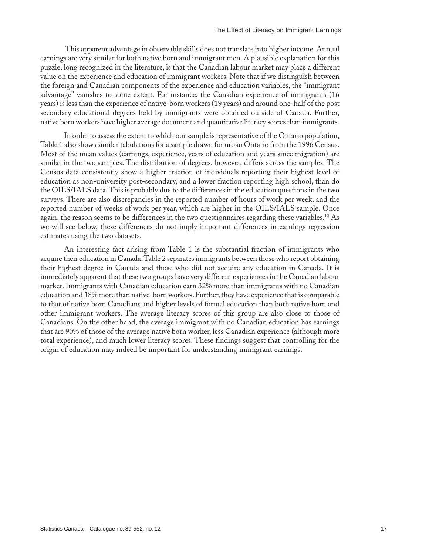This apparent advantage in observable skills does not translate into higher income. Annual earnings are very similar for both native born and immigrant men. A plausible explanation for this puzzle, long recognized in the literature, is that the Canadian labour market may place a different value on the experience and education of immigrant workers. Note that if we distinguish between the foreign and Canadian components of the experience and education variables, the "immigrant advantage" vanishes to some extent. For instance, the Canadian experience of immigrants (16 years) is less than the experience of native-born workers (19 years) and around one-half of the post secondary educational degrees held by immigrants were obtained outside of Canada. Further, native born workers have higher average document and quantitative literacy scores than immigrants.

In order to assess the extent to which our sample is representative of the Ontario population, Table 1 also shows similar tabulations for a sample drawn for urban Ontario from the 1996 Census. Most of the mean values (earnings, experience, years of education and years since migration) are similar in the two samples. The distribution of degrees, however, differs across the samples. The Census data consistently show a higher fraction of individuals reporting their highest level of education as non-university post-secondary, and a lower fraction reporting high school, than do the OILS/IALS data. This is probably due to the differences in the education questions in the two surveys. There are also discrepancies in the reported number of hours of work per week, and the reported number of weeks of work per year, which are higher in the OILS/IALS sample. Once again, the reason seems to be differences in the two questionnaires regarding these variables.12 As we will see below, these differences do not imply important differences in earnings regression estimates using the two datasets.

An interesting fact arising from Table 1 is the substantial fraction of immigrants who acquire their education in Canada. Table 2 separates immigrants between those who report obtaining their highest degree in Canada and those who did not acquire any education in Canada. It is immediately apparent that these two groups have very different experiences in the Canadian labour market. Immigrants with Canadian education earn 32% more than immigrants with no Canadian education and 18% more than native-born workers. Further, they have experience that is comparable to that of native born Canadians and higher levels of formal education than both native born and other immigrant workers. The average literacy scores of this group are also close to those of Canadians. On the other hand, the average immigrant with no Canadian education has earnings that are 90% of those of the average native born worker, less Canadian experience (although more total experience), and much lower literacy scores. These findings suggest that controlling for the origin of education may indeed be important for understanding immigrant earnings.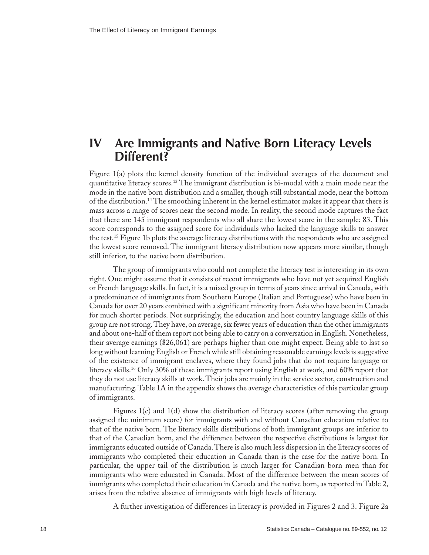### <span id="page-19-0"></span>**IV Are Immigrants and Native Born Literacy Levels Different?**

Figure 1(a) plots the kernel density function of the individual averages of the document and quantitative literacy scores.13 The immigrant distribution is bi-modal with a main mode near the mode in the native born distribution and a smaller, though still substantial mode, near the bottom of the distribution.14 The smoothing inherent in the kernel estimator makes it appear that there is mass across a range of scores near the second mode. In reality, the second mode captures the fact that there are 145 immigrant respondents who all share the lowest score in the sample: 83. This score corresponds to the assigned score for individuals who lacked the language skills to answer the test.15 Figure 1b plots the average literacy distributions with the respondents who are assigned the lowest score removed. The immigrant literacy distribution now appears more similar, though still inferior, to the native born distribution.

The group of immigrants who could not complete the literacy test is interesting in its own right. One might assume that it consists of recent immigrants who have not yet acquired English or French language skills. In fact, it is a mixed group in terms of years since arrival in Canada, with a predominance of immigrants from Southern Europe (Italian and Portuguese) who have been in Canada for over 20 years combined with a significant minority from Asia who have been in Canada for much shorter periods. Not surprisingly, the education and host country language skills of this group are not strong. They have, on average, six fewer years of education than the other immigrants and about one-half of them report not being able to carry on a conversation in English. Nonetheless, their average earnings (\$26,061) are perhaps higher than one might expect. Being able to last so long without learning English or French while still obtaining reasonable earnings levels is suggestive of the existence of immigrant enclaves, where they found jobs that do not require language or literacy skills.16 Only 30% of these immigrants report using English at work, and 60% report that they do not use literacy skills at work. Their jobs are mainly in the service sector, construction and manufacturing. Table 1A in the appendix shows the average characteristics of this particular group of immigrants.

Figures 1(c) and 1(d) show the distribution of literacy scores (after removing the group assigned the minimum score) for immigrants with and without Canadian education relative to that of the native born. The literacy skills distributions of both immigrant groups are inferior to that of the Canadian born, and the difference between the respective distributions is largest for immigrants educated outside of Canada. There is also much less dispersion in the literacy scores of immigrants who completed their education in Canada than is the case for the native born. In particular, the upper tail of the distribution is much larger for Canadian born men than for immigrants who were educated in Canada. Most of the difference between the mean scores of immigrants who completed their education in Canada and the native born, as reported in Table 2, arises from the relative absence of immigrants with high levels of literacy.

A further investigation of differences in literacy is provided in Figures 2 and 3. Figure 2a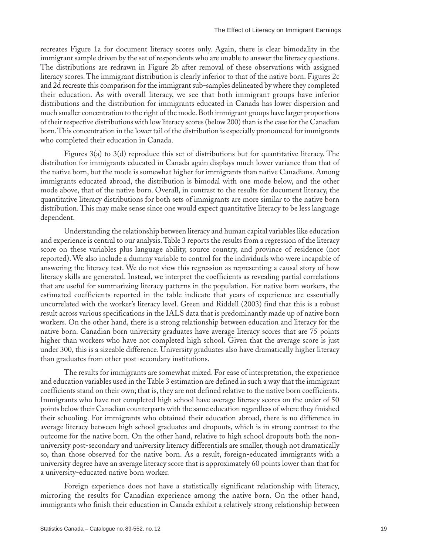recreates Figure 1a for document literacy scores only. Again, there is clear bimodality in the immigrant sample driven by the set of respondents who are unable to answer the literacy questions. The distributions are redrawn in Figure 2b after removal of these observations with assigned literacy scores. The immigrant distribution is clearly inferior to that of the native born. Figures 2c and 2d recreate this comparison for the immigrant sub-samples delineated by where they completed their education. As with overall literacy, we see that both immigrant groups have inferior distributions and the distribution for immigrants educated in Canada has lower dispersion and much smaller concentration to the right of the mode. Both immigrant groups have larger proportions of their respective distributions with low literacy scores (below 200) than is the case for the Canadian born. This concentration in the lower tail of the distribution is especially pronounced for immigrants who completed their education in Canada.

Figures 3(a) to 3(d) reproduce this set of distributions but for quantitative literacy. The distribution for immigrants educated in Canada again displays much lower variance than that of the native born, but the mode is somewhat higher for immigrants than native Canadians. Among immigrants educated abroad, the distribution is bimodal with one mode below, and the other mode above, that of the native born. Overall, in contrast to the results for document literacy, the quantitative literacy distributions for both sets of immigrants are more similar to the native born distribution. This may make sense since one would expect quantitative literacy to be less language dependent.

Understanding the relationship between literacy and human capital variables like education and experience is central to our analysis. Table 3 reports the results from a regression of the literacy score on these variables plus language ability, source country, and province of residence (not reported). We also include a dummy variable to control for the individuals who were incapable of answering the literacy test. We do not view this regression as representing a causal story of how literacy skills are generated. Instead, we interpret the coefficients as revealing partial correlations that are useful for summarizing literacy patterns in the population. For native born workers, the estimated coefficients reported in the table indicate that years of experience are essentially uncorrelated with the worker's literacy level. Green and Riddell (2003) find that this is a robust result across various specifications in the IALS data that is predominantly made up of native born workers. On the other hand, there is a strong relationship between education and literacy for the native born. Canadian born university graduates have average literacy scores that are 75 points higher than workers who have not completed high school. Given that the average score is just under 300, this is a sizeable difference. University graduates also have dramatically higher literacy than graduates from other post-secondary institutions.

The results for immigrants are somewhat mixed. For ease of interpretation, the experience and education variables used in the Table 3 estimation are defined in such a way that the immigrant coefficients stand on their own; that is, they are not defined relative to the native born coefficients. Immigrants who have not completed high school have average literacy scores on the order of 50 points below their Canadian counterparts with the same education regardless of where they finished their schooling. For immigrants who obtained their education abroad, there is no difference in average literacy between high school graduates and dropouts, which is in strong contrast to the outcome for the native born. On the other hand, relative to high school dropouts both the nonuniversity post-secondary and university literacy differentials are smaller, though not dramatically so, than those observed for the native born. As a result, foreign-educated immigrants with a university degree have an average literacy score that is approximately 60 points lower than that for a university-educated native born worker.

Foreign experience does not have a statistically significant relationship with literacy, mirroring the results for Canadian experience among the native born. On the other hand, immigrants who finish their education in Canada exhibit a relatively strong relationship between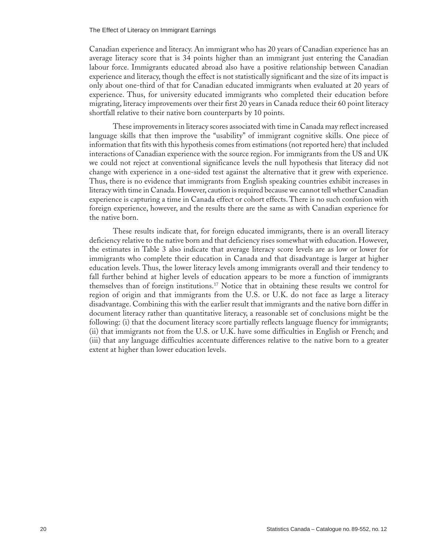Canadian experience and literacy. An immigrant who has 20 years of Canadian experience has an average literacy score that is 34 points higher than an immigrant just entering the Canadian labour force. Immigrants educated abroad also have a positive relationship between Canadian experience and literacy, though the effect is not statistically significant and the size of its impact is only about one-third of that for Canadian educated immigrants when evaluated at 20 years of experience. Thus, for university educated immigrants who completed their education before migrating, literacy improvements over their first 20 years in Canada reduce their 60 point literacy shortfall relative to their native born counterparts by 10 points.

These improvements in literacy scores associated with time in Canada may reflect increased language skills that then improve the "usability" of immigrant cognitive skills. One piece of information that fits with this hypothesis comes from estimations (not reported here) that included interactions of Canadian experience with the source region. For immigrants from the US and UK we could not reject at conventional significance levels the null hypothesis that literacy did not change with experience in a one-sided test against the alternative that it grew with experience. Thus, there is no evidence that immigrants from English speaking countries exhibit increases in literacy with time in Canada. However, caution is required because we cannot tell whether Canadian experience is capturing a time in Canada effect or cohort effects. There is no such confusion with foreign experience, however, and the results there are the same as with Canadian experience for the native born.

These results indicate that, for foreign educated immigrants, there is an overall literacy deficiency relative to the native born and that deficiency rises somewhat with education. However, the estimates in Table 3 also indicate that average literacy score levels are as low or lower for immigrants who complete their education in Canada and that disadvantage is larger at higher education levels. Thus, the lower literacy levels among immigrants overall and their tendency to fall further behind at higher levels of education appears to be more a function of immigrants themselves than of foreign institutions.17 Notice that in obtaining these results we control for region of origin and that immigrants from the U.S. or U.K. do not face as large a literacy disadvantage. Combining this with the earlier result that immigrants and the native born differ in document literacy rather than quantitative literacy, a reasonable set of conclusions might be the following: (i) that the document literacy score partially reflects language fluency for immigrants; (ii) that immigrants not from the U.S. or U.K. have some difficulties in English or French; and (iii) that any language difficulties accentuate differences relative to the native born to a greater extent at higher than lower education levels.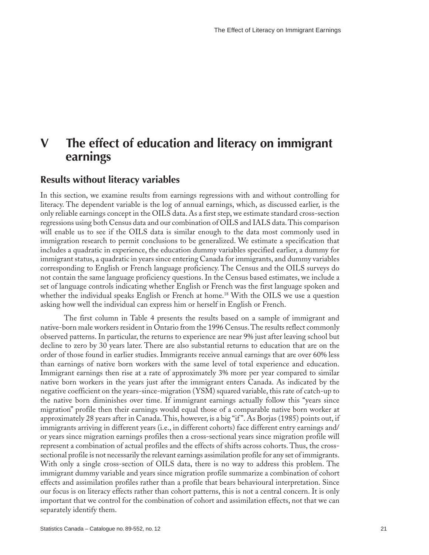## <span id="page-22-0"></span>**V The effect of education and literacy on immigrant earnings**

### **Results without literacy variables**

In this section, we examine results from earnings regressions with and without controlling for literacy. The dependent variable is the log of annual earnings, which, as discussed earlier, is the only reliable earnings concept in the OILS data. As a first step, we estimate standard cross-section regressions using both Census data and our combination of OILS and IALS data. This comparison will enable us to see if the OILS data is similar enough to the data most commonly used in immigration research to permit conclusions to be generalized. We estimate a specification that includes a quadratic in experience, the education dummy variables specified earlier, a dummy for immigrant status, a quadratic in years since entering Canada for immigrants, and dummy variables corresponding to English or French language proficiency. The Census and the OILS surveys do not contain the same language proficiency questions. In the Census based estimates, we include a set of language controls indicating whether English or French was the first language spoken and whether the individual speaks English or French at home.<sup>18</sup> With the OILS we use a question asking how well the individual can express him or herself in English or French.

The first column in Table 4 presents the results based on a sample of immigrant and native-born male workers resident in Ontario from the 1996 Census. The results reflect commonly observed patterns. In particular, the returns to experience are near 9% just after leaving school but decline to zero by 30 years later. There are also substantial returns to education that are on the order of those found in earlier studies. Immigrants receive annual earnings that are over 60% less than earnings of native born workers with the same level of total experience and education. Immigrant earnings then rise at a rate of approximately 3% more per year compared to similar native born workers in the years just after the immigrant enters Canada. As indicated by the negative coefficient on the years-since-migration (YSM) squared variable, this rate of catch-up to the native born diminishes over time. If immigrant earnings actually follow this "years since migration" profile then their earnings would equal those of a comparable native born worker at approximately 28 years after in Canada. This, however, is a big "if ". As Borjas (1985) points out, if immigrants arriving in different years (i.e., in different cohorts) face different entry earnings and/ or years since migration earnings profiles then a cross-sectional years since migration profile will represent a combination of actual profiles and the effects of shifts across cohorts. Thus, the crosssectional profile is not necessarily the relevant earnings assimilation profile for any set of immigrants. With only a single cross-section of OILS data, there is no way to address this problem. The immigrant dummy variable and years since migration profile summarize a combination of cohort effects and assimilation profiles rather than a profile that bears behavioural interpretation. Since our focus is on literacy effects rather than cohort patterns, this is not a central concern. It is only important that we control for the combination of cohort and assimilation effects, not that we can separately identify them.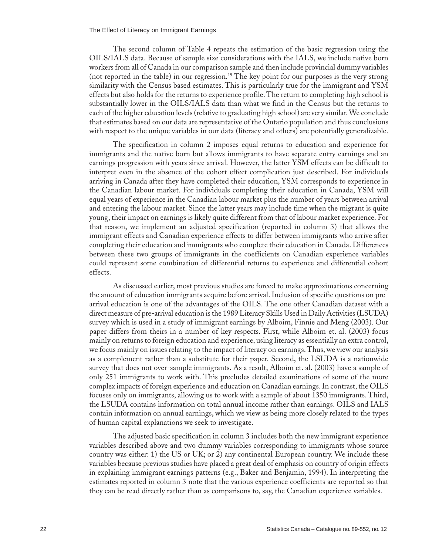The second column of Table 4 repeats the estimation of the basic regression using the OILS/IALS data. Because of sample size considerations with the IALS, we include native born workers from all of Canada in our comparison sample and then include provincial dummy variables (not reported in the table) in our regression.<sup>19</sup> The key point for our purposes is the very strong similarity with the Census based estimates. This is particularly true for the immigrant and YSM effects but also holds for the returns to experience profile. The return to completing high school is substantially lower in the OILS/IALS data than what we find in the Census but the returns to each of the higher education levels (relative to graduating high school) are very similar. We conclude that estimates based on our data are representative of the Ontario population and thus conclusions with respect to the unique variables in our data (literacy and others) are potentially generalizable.

The specification in column 2 imposes equal returns to education and experience for immigrants and the native born but allows immigrants to have separate entry earnings and an earnings progression with years since arrival. However, the latter YSM effects can be difficult to interpret even in the absence of the cohort effect complication just described. For individuals arriving in Canada after they have completed their education, YSM corresponds to experience in the Canadian labour market. For individuals completing their education in Canada, YSM will equal years of experience in the Canadian labour market plus the number of years between arrival and entering the labour market. Since the latter years may include time when the migrant is quite young, their impact on earnings is likely quite different from that of labour market experience. For that reason, we implement an adjusted specification (reported in column 3) that allows the immigrant effects and Canadian experience effects to differ between immigrants who arrive after completing their education and immigrants who complete their education in Canada. Differences between these two groups of immigrants in the coefficients on Canadian experience variables could represent some combination of differential returns to experience and differential cohort effects.

As discussed earlier, most previous studies are forced to make approximations concerning the amount of education immigrants acquire before arrival. Inclusion of specific questions on prearrival education is one of the advantages of the OILS. The one other Canadian dataset with a direct measure of pre-arrival education is the 1989 Literacy Skills Used in Daily Activities (LSUDA) survey which is used in a study of immigrant earnings by Alboim, Finnie and Meng (2003). Our paper differs from theirs in a number of key respects. First, while Alboim et. al. (2003) focus mainly on returns to foreign education and experience, using literacy as essentially an extra control, we focus mainly on issues relating to the impact of literacy on earnings. Thus, we view our analysis as a complement rather than a substitute for their paper. Second, the LSUDA is a nationwide survey that does not over-sample immigrants. As a result, Alboim et. al. (2003) have a sample of only 251 immigrants to work with. This precludes detailed examinations of some of the more complex impacts of foreign experience and education on Canadian earnings. In contrast, the OILS focuses only on immigrants, allowing us to work with a sample of about 1350 immigrants. Third, the LSUDA contains information on total annual income rather than earnings. OILS and IALS contain information on annual earnings, which we view as being more closely related to the types of human capital explanations we seek to investigate.

The adjusted basic specification in column 3 includes both the new immigrant experience variables described above and two dummy variables corresponding to immigrants whose source country was either: 1) the US or UK; or 2) any continental European country. We include these variables because previous studies have placed a great deal of emphasis on country of origin effects in explaining immigrant earnings patterns (e.g., Baker and Benjamin, 1994). In interpreting the estimates reported in column 3 note that the various experience coefficients are reported so that they can be read directly rather than as comparisons to, say, the Canadian experience variables.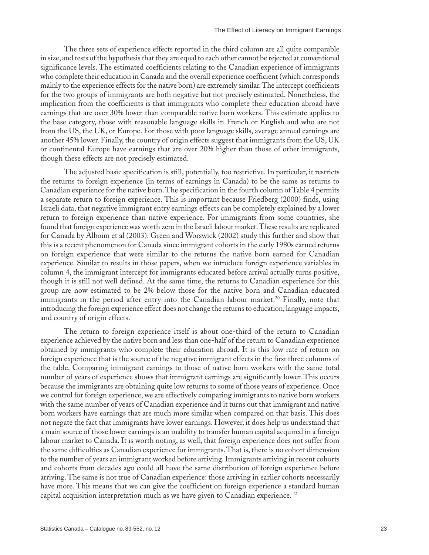The three sets of experience effects reported in the third column are all quite comparable in size, and tests of the hypothesis that they are equal to each other cannot be rejected at conventional significance levels. The estimated coefficients relating to the Canadian experience of immigrants who complete their education in Canada and the overall experience coefficient (which corresponds mainly to the experience effects for the native born) are extremely similar. The intercept coefficients for the two groups of immigrants are both negative but not precisely estimated. Nonetheless, the implication from the coefficients is that immigrants who complete their education abroad have earnings that are over 30% lower than comparable native born workers. This estimate applies to the base category, those with reasonable language skills in French or English and who are not from the US, the UK, or Europe. For those with poor language skills, average annual earnings are another 45% lower. Finally, the country of origin effects suggest that immigrants from the US, UK or continental Europe have earnings that are over 20% higher than those of other immigrants, though these effects are not precisely estimated.

The adjusted basic specification is still, potentially, too restrictive. In particular, it restricts the returns to foreign experience (in terms of earnings in Canada) to be the same as returns to Canadian experience for the native born. The specification in the fourth column of Table 4 permits a separate return to foreign experience. This is important because Friedberg (2000) finds, using Israeli data, that negative immigrant entry earnings effects can be completely explained by a lower return to foreign experience than native experience. For immigrants from some countries, she found that foreign experience was worth zero in the Israeli labour market. These results are replicated for Canada by Alboim et al (2003). Green and Worswick (2002) study this further and show that this is a recent phenomenon for Canada since immigrant cohorts in the early 1980s earned returns on foreign experience that were similar to the returns the native born earned for Canadian experience. Similar to results in those papers, when we introduce foreign experience variables in column 4, the immigrant intercept for immigrants educated before arrival actually turns positive, though it is still not well defined. At the same time, the returns to Canadian experience for this group are now estimated to be 2% below those for the native born and Canadian educated immigrants in the period after entry into the Canadian labour market.<sup>20</sup> Finally, note that introducing the foreign experience effect does not change the returns to education, language impacts, and country of origin effects.

The return to foreign experience itself is about one-third of the return to Canadian experience achieved by the native born and less than one-half of the return to Canadian experience obtained by immigrants who complete their education abroad. It is this low rate of return on foreign experience that is the source of the negative immigrant effects in the first three columns of the table. Comparing immigrant earnings to those of native born workers with the same total number of years of experience shows that immigrant earnings are significantly lower. This occurs because the immigrants are obtaining quite low returns to some of those years of experience. Once we control for foreign experience, we are effectively comparing immigrants to native born workers with the same number of years of Canadian experience and it turns out that immigrant and native born workers have earnings that are much more similar when compared on that basis. This does not negate the fact that immigrants have lower earnings. However, it does help us understand that a main source of those lower earnings is an inability to transfer human capital acquired in a foreign labour market to Canada. It is worth noting, as well, that foreign experience does not suffer from the same difficulties as Canadian experience for immigrants. That is, there is no cohort dimension to the number of years an immigrant worked before arriving. Immigrants arriving in recent cohorts and cohorts from decades ago could all have the same distribution of foreign experience before arriving. The same is not true of Canadian experience: those arriving in earlier cohorts necessarily have more. This means that we can give the coefficient on foreign experience a standard human capital acquisition interpretation much as we have given to Canadian experience. 21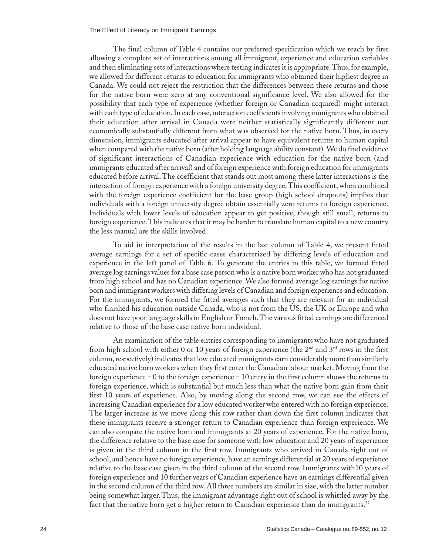The final column of Table 4 contains our preferred specification which we reach by first allowing a complete set of interactions among all immigrant, experience and education variables and then eliminating sets of interactions where testing indicates it is appropriate. Thus, for example, we allowed for different returns to education for immigrants who obtained their highest degree in Canada. We could not reject the restriction that the differences between these returns and those for the native born were zero at any conventional significance level. We also allowed for the possibility that each type of experience (whether foreign or Canadian acquired) might interact with each type of education. In each case, interaction coefficients involving immigrants who obtained their education after arrival in Canada were neither statistically significantly different nor economically substantially different from what was observed for the native born. Thus, in every dimension, immigrants educated after arrival appear to have equivalent returns to human capital when compared with the native born (after holding language ability constant). We do find evidence of significant interactions of Canadian experience with education for the native born (and immigrants educated after arrival) and of foreign experience with foreign education for immigrants educated before arrival. The coefficient that stands out most among these latter interactions is the interaction of foreign experience with a foreign university degree. This coefficient, when combined with the foreign experience coefficient for the base group (high school dropouts) implies that individuals with a foreign university degree obtain essentially zero returns to foreign experience. Individuals with lower levels of education appear to get positive, though still small, returns to foreign experience. This indicates that it may be harder to translate human capital to a new country the less manual are the skills involved.

To aid in interpretation of the results in the last column of Table 4, we present fitted average earnings for a set of specific cases characterized by differing levels of education and experience in the left panel of Table 6. To generate the entries in this table, we formed fitted average log earnings values for a base case person who is a native born worker who has not graduated from high school and has no Canadian experience. We also formed average log earnings for native born and immigrant workers with differing levels of Canadian and foreign experience and education. For the immigrants, we formed the fitted averages such that they are relevant for an individual who finished his education outside Canada, who is not from the US, the UK or Europe and who does not have poor language skills in English or French. The various fitted earnings are differenced relative to those of the base case native born individual.

An examination of the table entries corresponding to immigrants who have not graduated from high school with either 0 or 10 years of foreign experience (the  $2<sup>nd</sup>$  and  $3<sup>rd</sup>$  rows in the first column, respectively) indicates that low educated immigrants earn considerably more than similarly educated native born workers when they first enter the Canadian labour market. Moving from the foreign experience = 0 to the foreign experience = 10 entry in the first column shows the returns to foreign experience, which is substantial but much less than what the native born gain from their first 10 years of experience. Also, by moving along the second row, we can see the effects of increasing Canadian experience for a low educated worker who entered with no foreign experience. The larger increase as we move along this row rather than down the first column indicates that these immigrants receive a stronger return to Canadian experience than foreign experience. We can also compare the native born and immigrants at 20 years of experience. For the native born, the difference relative to the base case for someone with low education and 20 years of experience is given in the third column in the first row. Immigrants who arrived in Canada right out of school, and hence have no foreign experience, have an earnings differential at 20 years of experience relative to the base case given in the third column of the second row. Immigrants with10 years of foreign experience and 10 further years of Canadian experience have an earnings differential given in the second column of the third row. All three numbers are similar in size, with the latter number being somewhat larger. Thus, the immigrant advantage right out of school is whittled away by the fact that the native born get a higher return to Canadian experience than do immigrants.<sup>22</sup>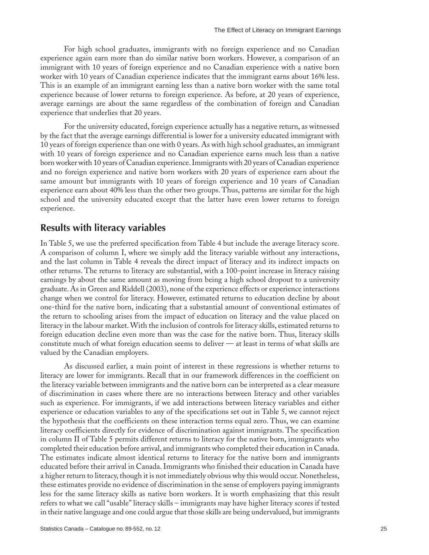<span id="page-26-0"></span>For high school graduates, immigrants with no foreign experience and no Canadian experience again earn more than do similar native born workers. However, a comparison of an immigrant with 10 years of foreign experience and no Canadian experience with a native born worker with 10 years of Canadian experience indicates that the immigrant earns about 16% less. This is an example of an immigrant earning less than a native born worker with the same total experience because of lower returns to foreign experience. As before, at 20 years of experience, average earnings are about the same regardless of the combination of foreign and Canadian experience that underlies that 20 years.

For the university educated, foreign experience actually has a negative return, as witnessed by the fact that the average earnings differential is lower for a university educated immigrant with 10 years of foreign experience than one with 0 years. As with high school graduates, an immigrant with 10 years of foreign experience and no Canadian experience earns much less than a native born worker with 10 years of Canadian experience. Immigrants with 20 years of Canadian experience and no foreign experience and native born workers with 20 years of experience earn about the same amount but immigrants with 10 years of foreign experience and 10 years of Canadian experience earn about 40% less than the other two groups. Thus, patterns are similar for the high school and the university educated except that the latter have even lower returns to foreign experience.

### **Results with literacy variables**

In Table 5, we use the preferred specification from Table 4 but include the average literacy score. A comparison of column I, where we simply add the literacy variable without any interactions, and the last column in Table 4 reveals the direct impact of literacy and its indirect impacts on other returns. The returns to literacy are substantial, with a 100-point increase in literacy raising earnings by about the same amount as moving from being a high school dropout to a university graduate. As in Green and Riddell (2003), none of the experience effects or experience interactions change when we control for literacy. However, estimated returns to education decline by about one-third for the native born, indicating that a substantial amount of conventional estimates of the return to schooling arises from the impact of education on literacy and the value placed on literacy in the labour market. With the inclusion of controls for literacy skills, estimated returns to foreign education decline even more than was the case for the native born. Thus, literacy skills constitute much of what foreign education seems to deliver — at least in terms of what skills are valued by the Canadian employers.

As discussed earlier, a main point of interest in these regressions is whether returns to literacy are lower for immigrants. Recall that in our framework differences in the coefficient on the literacy variable between immigrants and the native born can be interpreted as a clear measure of discrimination in cases where there are no interactions between literacy and other variables such as experience. For immigrants, if we add interactions between literacy variables and either experience or education variables to any of the specifications set out in Table 5, we cannot reject the hypothesis that the coefficients on these interaction terms equal zero. Thus, we can examine literacy coefficients directly for evidence of discrimination against immigrants. The specification in column II of Table 5 permits different returns to literacy for the native born, immigrants who completed their education before arrival, and immigrants who completed their education in Canada. The estimates indicate almost identical returns to literacy for the native born and immigrants educated before their arrival in Canada. Immigrants who finished their education in Canada have a higher return to literacy, though it is not immediately obvious why this would occur. Nonetheless, these estimates provide no evidence of discrimination in the sense of employers paying immigrants less for the same literacy skills as native born workers. It is worth emphasizing that this result refers to what we call "usable" literacy skills – immigrants may have higher literacy scores if tested in their native language and one could argue that those skills are being undervalued, but immigrants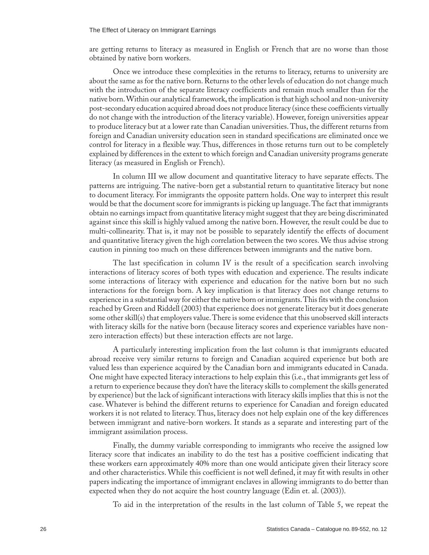are getting returns to literacy as measured in English or French that are no worse than those obtained by native born workers.

Once we introduce these complexities in the returns to literacy, returns to university are about the same as for the native born. Returns to the other levels of education do not change much with the introduction of the separate literacy coefficients and remain much smaller than for the native born. Within our analytical framework, the implication is that high school and non-university post-secondary education acquired abroad does not produce literacy (since these coefficients virtually do not change with the introduction of the literacy variable). However, foreign universities appear to produce literacy but at a lower rate than Canadian universities. Thus, the different returns from foreign and Canadian university education seen in standard specifications are eliminated once we control for literacy in a flexible way. Thus, differences in those returns turn out to be completely explained by differences in the extent to which foreign and Canadian university programs generate literacy (as measured in English or French).

In column III we allow document and quantitative literacy to have separate effects. The patterns are intriguing. The native-born get a substantial return to quantitative literacy but none to document literacy. For immigrants the opposite pattern holds. One way to interpret this result would be that the document score for immigrants is picking up language. The fact that immigrants obtain no earnings impact from quantitative literacy might suggest that they are being discriminated against since this skill is highly valued among the native born. However, the result could be due to multi-collinearity. That is, it may not be possible to separately identify the effects of document and quantitative literacy given the high correlation between the two scores. We thus advise strong caution in pinning too much on these differences between immigrants and the native born.

The last specification in column IV is the result of a specification search involving interactions of literacy scores of both types with education and experience. The results indicate some interactions of literacy with experience and education for the native born but no such interactions for the foreign born. A key implication is that literacy does not change returns to experience in a substantial way for either the native born or immigrants. This fits with the conclusion reached by Green and Riddell (2003) that experience does not generate literacy but it does generate some other skill(s) that employers value. There is some evidence that this unobserved skill interacts with literacy skills for the native born (because literacy scores and experience variables have nonzero interaction effects) but these interaction effects are not large.

A particularly interesting implication from the last column is that immigrants educated abroad receive very similar returns to foreign and Canadian acquired experience but both are valued less than experience acquired by the Canadian born and immigrants educated in Canada. One might have expected literacy interactions to help explain this (i.e., that immigrants get less of a return to experience because they don't have the literacy skills to complement the skills generated by experience) but the lack of significant interactions with literacy skills implies that this is not the case. Whatever is behind the different returns to experience for Canadian and foreign educated workers it is not related to literacy. Thus, literacy does not help explain one of the key differences between immigrant and native-born workers. It stands as a separate and interesting part of the immigrant assimilation process.

Finally, the dummy variable corresponding to immigrants who receive the assigned low literacy score that indicates an inability to do the test has a positive coefficient indicating that these workers earn approximately 40% more than one would anticipate given their literacy score and other characteristics. While this coefficient is not well defined, it may fit with results in other papers indicating the importance of immigrant enclaves in allowing immigrants to do better than expected when they do not acquire the host country language (Edin et. al. (2003)).

To aid in the interpretation of the results in the last column of Table 5, we repeat the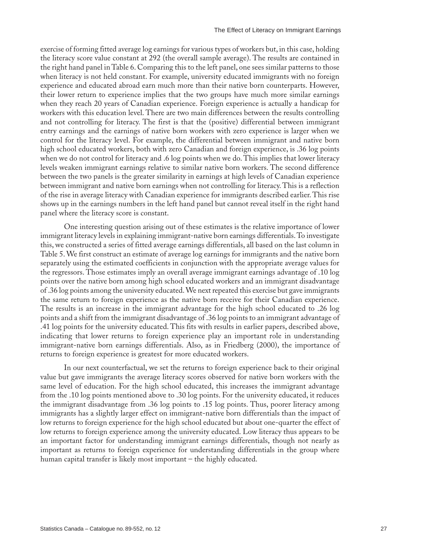exercise of forming fitted average log earnings for various types of workers but, in this case, holding the literacy score value constant at 292 (the overall sample average). The results are contained in the right hand panel in Table 6. Comparing this to the left panel, one sees similar patterns to those when literacy is not held constant. For example, university educated immigrants with no foreign experience and educated abroad earn much more than their native born counterparts. However, their lower return to experience implies that the two groups have much more similar earnings when they reach 20 years of Canadian experience. Foreign experience is actually a handicap for workers with this education level. There are two main differences between the results controlling and not controlling for literacy. The first is that the (positive) differential between immigrant entry earnings and the earnings of native born workers with zero experience is larger when we control for the literacy level. For example, the differential between immigrant and native born high school educated workers, both with zero Canadian and foreign experience, is .36 log points when we do not control for literacy and .6 log points when we do. This implies that lower literacy levels weaken immigrant earnings relative to similar native born workers. The second difference between the two panels is the greater similarity in earnings at high levels of Canadian experience between immigrant and native born earnings when not controlling for literacy. This is a reflection of the rise in average literacy with Canadian experience for immigrants described earlier. This rise shows up in the earnings numbers in the left hand panel but cannot reveal itself in the right hand panel where the literacy score is constant.

One interesting question arising out of these estimates is the relative importance of lower immigrant literacy levels in explaining immigrant-native born earnings differentials. To investigate this, we constructed a series of fitted average earnings differentials, all based on the last column in Table 5. We first construct an estimate of average log earnings for immigrants and the native born separately using the estimated coefficients in conjunction with the appropriate average values for the regressors. Those estimates imply an overall average immigrant earnings advantage of .10 log points over the native born among high school educated workers and an immigrant disadvantage of .36 log points among the university educated. We next repeated this exercise but gave immigrants the same return to foreign experience as the native born receive for their Canadian experience. The results is an increase in the immigrant advantage for the high school educated to .26 log points and a shift from the immigrant disadvantage of .36 log points to an immigrant advantage of .41 log points for the university educated. This fits with results in earlier papers, described above, indicating that lower returns to foreign experience play an important role in understanding immigrant-native born earnings differentials. Also, as in Friedberg (2000), the importance of returns to foreign experience is greatest for more educated workers.

In our next counterfactual, we set the returns to foreign experience back to their original value but gave immigrants the average literacy scores observed for native born workers with the same level of education. For the high school educated, this increases the immigrant advantage from the .10 log points mentioned above to .30 log points. For the university educated, it reduces the immigrant disadvantage from .36 log points to .15 log points. Thus, poorer literacy among immigrants has a slightly larger effect on immigrant-native born differentials than the impact of low returns to foreign experience for the high school educated but about one-quarter the effect of low returns to foreign experience among the university educated. Low literacy thus appears to be an important factor for understanding immigrant earnings differentials, though not nearly as important as returns to foreign experience for understanding differentials in the group where human capital transfer is likely most important – the highly educated.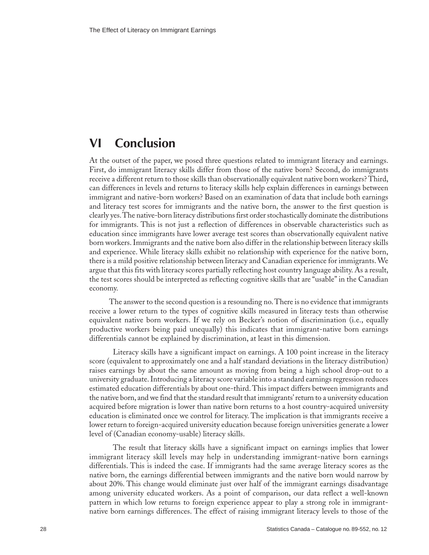## <span id="page-29-0"></span>**VI Conclusion**

At the outset of the paper, we posed three questions related to immigrant literacy and earnings. First, do immigrant literacy skills differ from those of the native born? Second, do immigrants receive a different return to those skills than observationally equivalent native born workers? Third, can differences in levels and returns to literacy skills help explain differences in earnings between immigrant and native-born workers? Based on an examination of data that include both earnings and literacy test scores for immigrants and the native born, the answer to the first question is clearly yes. The native-born literacy distributions first order stochastically dominate the distributions for immigrants. This is not just a reflection of differences in observable characteristics such as education since immigrants have lower average test scores than observationally equivalent native born workers. Immigrants and the native born also differ in the relationship between literacy skills and experience. While literacy skills exhibit no relationship with experience for the native born, there is a mild positive relationship between literacy and Canadian experience for immigrants. We argue that this fits with literacy scores partially reflecting host country language ability. As a result, the test scores should be interpreted as reflecting cognitive skills that are "usable" in the Canadian economy.

The answer to the second question is a resounding no. There is no evidence that immigrants receive a lower return to the types of cognitive skills measured in literacy tests than otherwise equivalent native born workers. If we rely on Becker's notion of discrimination (i.e., equally productive workers being paid unequally) this indicates that immigrant-native born earnings differentials cannot be explained by discrimination, at least in this dimension.

Literacy skills have a significant impact on earnings. A 100 point increase in the literacy score (equivalent to approximately one and a half standard deviations in the literacy distribution) raises earnings by about the same amount as moving from being a high school drop-out to a university graduate. Introducing a literacy score variable into a standard earnings regression reduces estimated education differentials by about one-third. This impact differs between immigrants and the native born, and we find that the standard result that immigrants' return to a university education acquired before migration is lower than native born returns to a host country-acquired university education is eliminated once we control for literacy. The implication is that immigrants receive a lower return to foreign-acquired university education because foreign universities generate a lower level of (Canadian economy-usable) literacy skills.

The result that literacy skills have a significant impact on earnings implies that lower immigrant literacy skill levels may help in understanding immigrant-native born earnings differentials. This is indeed the case. If immigrants had the same average literacy scores as the native born, the earnings differential between immigrants and the native born would narrow by about 20%. This change would eliminate just over half of the immigrant earnings disadvantage among university educated workers. As a point of comparison, our data reflect a well-known pattern in which low returns to foreign experience appear to play a strong role in immigrantnative born earnings differences. The effect of raising immigrant literacy levels to those of the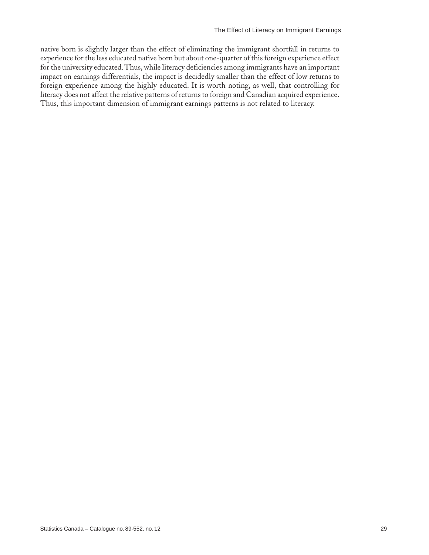native born is slightly larger than the effect of eliminating the immigrant shortfall in returns to experience for the less educated native born but about one-quarter of this foreign experience effect for the university educated. Thus, while literacy deficiencies among immigrants have an important impact on earnings differentials, the impact is decidedly smaller than the effect of low returns to foreign experience among the highly educated. It is worth noting, as well, that controlling for literacy does not affect the relative patterns of returns to foreign and Canadian acquired experience. Thus, this important dimension of immigrant earnings patterns is not related to literacy.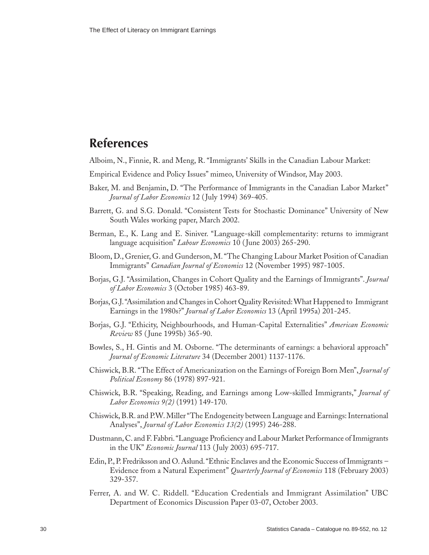## <span id="page-31-0"></span>**References**

Alboim, N., Finnie, R. and Meng, R. "Immigrants' Skills in the Canadian Labour Market:

- Empirical Evidence and Policy Issues" mimeo, University of Windsor, May 2003.
- Baker, M. and Benjamin**,** D. "The Performance of Immigrants in the Canadian Labor Market" *Journal of Labor Economics* 12 ( July 1994) 369-405.
- Barrett, G. and S.G. Donald. "Consistent Tests for Stochastic Dominance" University of New South Wales working paper, March 2002.
- Berman, E., K. Lang and E. Siniver. "Language-skill complementarity: returns to immigrant language acquisition" *Labour Economics* 10 (June 2003) 265-290.
- Bloom, D., Grenier, G. and Gunderson, M. "The Changing Labour Market Position of Canadian Immigrants" *Canadian Journal of Economics* 12 (November 1995) 987-1005.
- Borjas, G.J. "Assimilation, Changes in Cohort Quality and the Earnings of Immigrants". *Journal of Labor Economics* 3 (October 1985) 463-89.
- Borjas, G.J. "Assimilation and Changes in Cohort Quality Revisited: What Happened to Immigrant Earnings in the 1980s?" *Journal of Labor Economics* 13 (April 1995a) 201-245.
- Borjas, G.J. "Ethicity, Neighbourhoods, and Human-Capital Externalities" *American Economic Review* 85 ( June 1995b) 365-90.
- Bowles, S., H. Gintis and M. Osborne. "The determinants of earnings: a behavioral approach" *Journal of Economic Literature* 34 (December 2001) 1137-1176.
- Chiswick, B.R."The Effect of Americanization on the Earnings of Foreign Born Men", *Journal of Political Economy* 86 (1978) 897-921.
- Chiswick, B.R. "Speaking, Reading, and Earnings among Low-skilled Immigrants," *Journal of Labor Economics 9(2)* (1991) 149-170.
- Chiswick, B.R. and P.W. Miller"The Endogeneity between Language and Earnings: International Analyses", *Journal of Labor Economics 13(2)* (1995) 246-288.
- Dustmann, C. and F. Fabbri. "Language Proficiency and Labour Market Performance of Immigrants in the UK" *Economic Journal* 113 ( July 2003) 695-717.
- Edin, P., P. Fredriksson and O. Aslund. "Ethnic Enclaves and the Economic Success of Immigrants Evidence from a Natural Experiment" *Quarterly Journal of Economics* 118 (February 2003) 329-357.
- Ferrer, A. and W. C. Riddell. "Education Credentials and Immigrant Assimilation" UBC Department of Economics Discussion Paper 03-07, October 2003.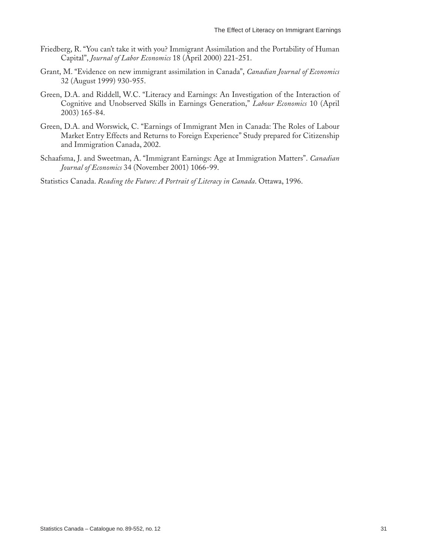- Friedberg, R. "You can't take it with you? Immigrant Assimilation and the Portability of Human Capital", *Journal of Labor Economics* 18 (April 2000) 221-251.
- Grant, M. "Evidence on new immigrant assimilation in Canada", *Canadian Journal of Economics* 32 (August 1999) 930-955.
- Green, D.A. and Riddell, W.C. "Literacy and Earnings: An Investigation of the Interaction of Cognitive and Unobserved Skills in Earnings Generation," *Labour Economics* 10 (April 2003) 165-84.
- Green, D.A. and Worswick, C. "Earnings of Immigrant Men in Canada: The Roles of Labour Market Entry Effects and Returns to Foreign Experience" Study prepared for Citizenship and Immigration Canada, 2002.
- Schaafsma, J. and Sweetman, A. "Immigrant Earnings: Age at Immigration Matters". *Canadian Journal of Economics* 34 (November 2001) 1066-99.

Statistics Canada. *Reading the Future: A Portrait of Literacy in Canada*. Ottawa, 1996.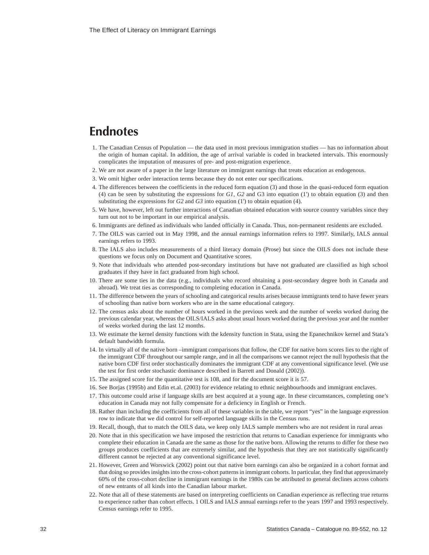### <span id="page-33-0"></span>**Endnotes**

- 1. The Canadian Census of Population the data used in most previous immigration studies has no information about the origin of human capital. In addition, the age of arrival variable is coded in bracketed intervals. This enormously complicates the imputation of measures of pre- and post-migration experience.
- 2. We are not aware of a paper in the large literature on immigrant earnings that treats education as endogenous.
- 3. We omit higher order interaction terms because they do not enter our specifications.
- 4. The differences between the coefficients in the reduced form equation (3) and those in the quasi-reduced form equation (4) can be seen by substituting the expressions for *G1, G2* and G3 into equation (1') to obtain equation (3) and then substituting the expressions for  $G2$  and  $G3$  into equation (1) to obtain equation (4).
- 5. We have, however, left out further interactions of Canadian obtained education with source country variables since they turn out not to be important in our empirical analysis.
- 6. Immigrants are defined as individuals who landed officially in Canada. Thus, non-permanent residents are excluded.
- 7. The OILS was carried out in May 1998, and the annual earnings information refers to 1997. Similarly, IALS annual earnings refers to 1993.
- 8. The IALS also includes measurements of a third literacy domain (Prose) but since the OILS does not include these questions we focus only on Document and Quantitative scores.
- 9. Note that individuals who attended post-secondary institutions but have not graduated are classified as high school graduates if they have in fact graduated from high school.
- 10. There are some ties in the data (e.g., individuals who record obtaining a post-secondary degree both in Canada and abroad). We treat ties as corresponding to completing education in Canada.
- 11. The difference between the years of schooling and categorical results arises because immigrants tend to have fewer years of schooling than native born workers who are in the same educational category.
- 12. The census asks about the number of hours worked in the previous week and the number of weeks worked during the previous calendar year, whereas the OILS/IALS asks about usual hours worked during the previous year and the number of weeks worked during the last 12 months.
- 13. We estimate the kernel density functions with the kdensity function in Stata, using the Epanechnikov kernel and Stata's default bandwidth formula.
- 14. In virtually all of the native born –immigrant comparisons that follow, the CDF for native born scores lies to the right of the immigrant CDF throughout our sample range, and in all the comparisons we cannot reject the null hypothesis that the native born CDF first order stochastically dominates the immigrant CDF at any conventional significance level. (We use the test for first order stochastic dominance described in Barrett and Donald (2002)).
- 15. The assigned score for the quantitative test is 108, and for the document score it is 57.
- 16. See Borjas (1995b) and Edin et.al. (2003) for evidence relating to ethnic neighbourhoods and immigrant enclaves.
- 17. This outcome could arise if language skills are best acquired at a young age. In these circumstances, completing one's education in Canada may not fully compensate for a deficiency in English or French.
- 18. Rather than including the coefficients from all of these variables in the table, we report "yes" in the language expression row to indicate that we did control for self-reported language skills in the Census runs.
- 19. Recall, though, that to match the OILS data, we keep only IALS sample members who are not resident in rural areas
- 20. Note that in this specification we have imposed the restriction that returns to Canadian experience for immigrants who complete their education in Canada are the same as those for the native born. Allowing the returns to differ for these two groups produces coefficients that are extremely similar, and the hypothesis that they are not statistically significantly different cannot be rejected at any conventional significance level.
- 21. However, Green and Worswick (2002) point out that native born earnings can also be organized in a cohort format and that doing so provides insights into the cross-cohort patterns in immigrant cohorts. In particular, they find that approximately 60% of the cross-cohort decline in immigrant earnings in the 1980s can be attributed to general declines across cohorts of new entrants of all kinds into the Canadian labour market.
- 22. Note that all of these statements are based on interpreting coefficients on Canadian experience as reflecting true returns to experience rather than cohort effects. 1 OILS and IALS annual earnings refer to the years 1997 and 1993 respectively. Census earnings refer to 1995.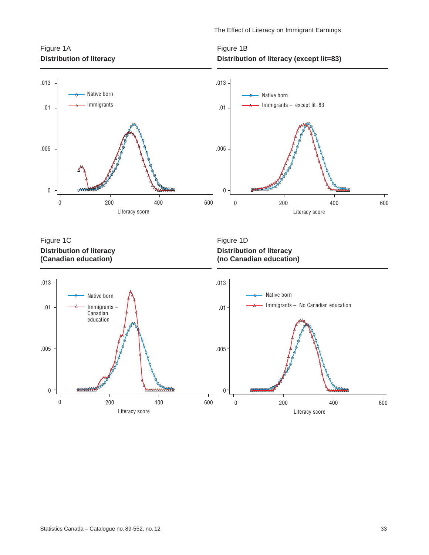<span id="page-34-0"></span>





Literacy score

Literacy score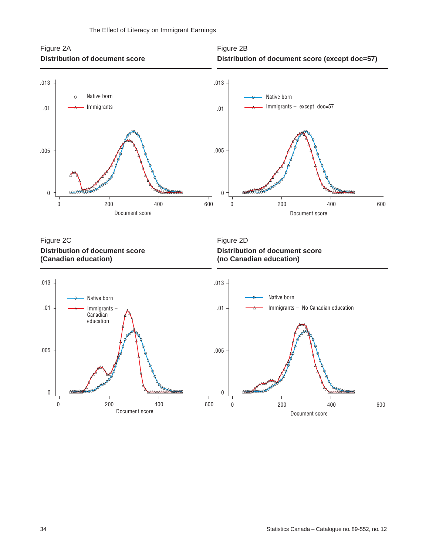Document score

<span id="page-35-0"></span>

Document score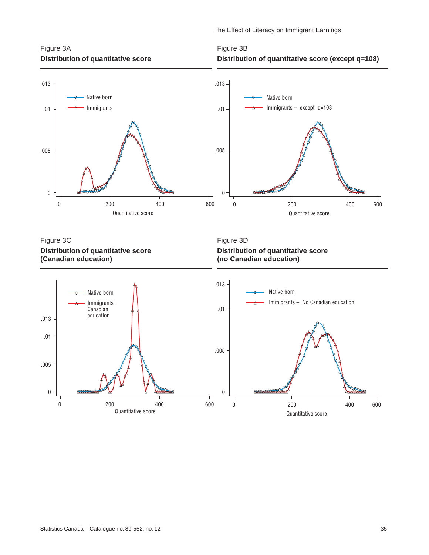<span id="page-36-0"></span>



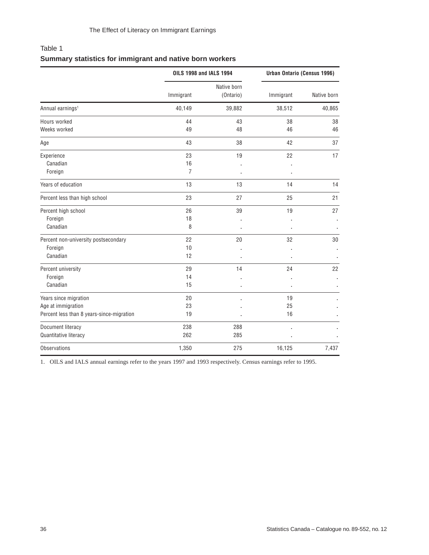<span id="page-37-0"></span>

| Table 1                                                  |
|----------------------------------------------------------|
| Summary statistics for immigrant and native born workers |

|                                           | <b>OILS 1998 and IALS 1994</b> |                          | <b>Urban Ontario (Census 1996)</b> |             |  |
|-------------------------------------------|--------------------------------|--------------------------|------------------------------------|-------------|--|
|                                           | Immigrant                      | Native born<br>(Ontario) | Immigrant                          | Native born |  |
| Annual earnings <sup>1</sup>              | 40,149                         | 39,882                   | 38,512                             | 40,865      |  |
| Hours worked                              | 44                             | 43                       | 38                                 | 38          |  |
| Weeks worked                              | 49                             | 48                       | 46                                 | 46          |  |
| Age                                       | 43                             | 38                       | 42                                 | 37          |  |
| Experience                                | 23                             | 19                       | 22                                 | 17          |  |
| Canadian                                  | 16                             |                          |                                    |             |  |
| Foreign                                   | $\overline{7}$                 |                          |                                    |             |  |
| Years of education                        | 13                             | 13                       | 14                                 | 14          |  |
| Percent less than high school             | 23                             | 27                       | 25                                 | 21          |  |
| Percent high school                       | 26                             | 39                       | 19                                 | 27          |  |
| Foreign                                   | 18                             |                          |                                    |             |  |
| Canadian                                  | 8                              |                          |                                    |             |  |
| Percent non-university postsecondary      | 22                             | 20                       | 32                                 | 30          |  |
| Foreign                                   | 10                             |                          |                                    |             |  |
| Canadian                                  | 12                             |                          |                                    |             |  |
| Percent university                        | 29                             | 14                       | 24                                 | 22          |  |
| Foreign                                   | 14                             |                          |                                    |             |  |
| Canadian                                  | 15                             |                          |                                    |             |  |
| Years since migration                     | 20                             |                          | 19                                 |             |  |
| Age at immigration                        | 23                             |                          | 25                                 |             |  |
| Percent less than 8 years-since-migration | 19                             |                          | 16                                 |             |  |
| Document literacy                         | 238                            | 288                      |                                    |             |  |
| Quantitative literacy                     | 262                            | 285                      |                                    |             |  |
| <b>Observations</b>                       | 1,350                          | 275                      | 16,125                             | 7,437       |  |

1. OILS and IALS annual earnings refer to the years 1997 and 1993 respectively. Census earnings refer to 1995.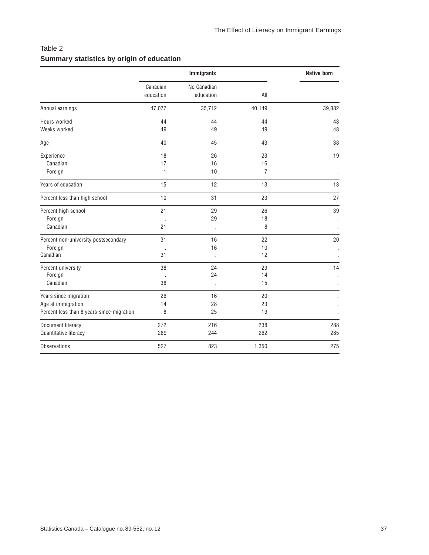### <span id="page-38-0"></span>Table 2

### **Summary statistics by origin of education**

|                                           | <b>Immigrants</b> |                |                | <b>Native born</b> |  |
|-------------------------------------------|-------------------|----------------|----------------|--------------------|--|
|                                           | Canadian          | No Canadian    |                |                    |  |
|                                           | education         | education      | All            |                    |  |
| Annual earnings                           | 47,077            | 35,712         | 40,149         | 39,882             |  |
| Hours worked                              | 44                | 44             | 44             | 43                 |  |
| Weeks worked                              | 49                | 49             | 49             | 48                 |  |
| Age                                       | 40                | 45             | 43             | 38                 |  |
| Experience                                | 18                | 26             | 23             | 19                 |  |
| Canadian                                  | 17                | 16             | 16             |                    |  |
| Foreign                                   | 1                 | 10             | $\overline{7}$ |                    |  |
| Years of education                        | 15                | 12             | 13             | 13                 |  |
| Percent less than high school             | 10                | 31             | 23             | 27                 |  |
| Percent high school                       | 21                | 29             | 26             | 39                 |  |
| Foreign                                   |                   | 29             | 18             |                    |  |
| Canadian                                  | 21                |                | 8              |                    |  |
| Percent non-university postsecondary      | 31                | 16             | 22             | 20                 |  |
| Foreign                                   |                   | 16             | 10             |                    |  |
| Canadian                                  | 31                | $\blacksquare$ | 12             |                    |  |
| Percent university                        | 38                | 24             | 29             | 14                 |  |
| Foreign                                   |                   | 24             | 14             |                    |  |
| Canadian                                  | 38                |                | 15             |                    |  |
| Years since migration                     | 26                | 16             | 20             |                    |  |
| Age at immigration                        | 14                | 28             | 23             |                    |  |
| Percent less than 8 years-since-migration | 8                 | 25             | 19             |                    |  |
| Document literacy                         | 272               | 216            | 238            | 288                |  |
| Quantitative literacy                     | 289               | 244            | 262            | 285                |  |
| <b>Observations</b>                       | 527               | 823            | 1,350          | 275                |  |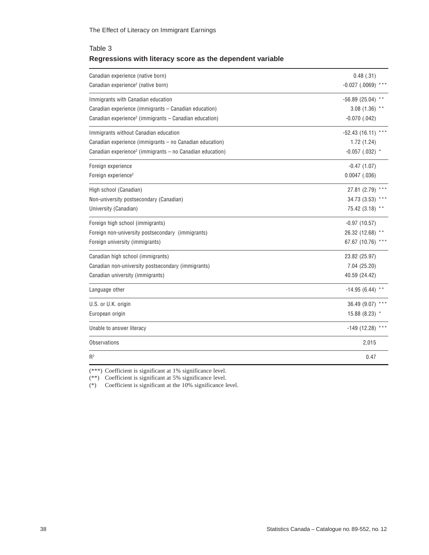#### <span id="page-39-0"></span>Table 3

#### **Regressions with literacy score as the dependent variable**

| Canadian experience (native born)                                       | 0.48(.31)         |
|-------------------------------------------------------------------------|-------------------|
| Canadian experience <sup>2</sup> (native born)                          | $-0.027$ (.0069)  |
| Immigrants with Canadian education                                      | $-56.89(25.04)$   |
| Canadian experience (immigrants - Canadian education)                   | $3.08(1.36)$ **   |
| Canadian experience <sup>2</sup> (immigrants - Canadian education)      | $-0.070$ $(.042)$ |
| Immigrants without Canadian education                                   | $-52.43(16.11)$   |
| Canadian experience (immigrants - no Canadian education)                | 1.72(1.24)        |
| Canadian experience <sup>2</sup> (immigrants $-$ no Canadian education) | $-0.057$ (.032) * |
| Foreign experience                                                      | $-0.47(1.07)$     |
| Foreign experience <sup>2</sup>                                         | $0.0047$ $(.036)$ |
| High school (Canadian)                                                  | 27.81 (2.79)      |
| Non-university postsecondary (Canadian)                                 | 34.73 (3.53)      |
| University (Canadian)                                                   | 75.42 (3.18) **   |
| Foreign high school (immigrants)                                        | $-0.97(10.57)$    |
| Foreign non-university postsecondary (immigrants)                       | 26.32 (12.68) **  |
| Foreign university (immigrants)                                         | 67.67 (10.76) *** |
| Canadian high school (immigrants)                                       | 23.82 (25.97)     |
| Canadian non-university postsecondary (immigrants)                      | 7.04 (25.20)      |
| Canadian university (immigrants)                                        | 40.59 (24.42)     |
| Language other                                                          | $-14.95(6.44)$ ** |
| U.S. or U.K. origin                                                     | 36.49 (9.07)      |
| European origin                                                         | 15.88 (8.23)      |
| Unable to answer literacy                                               | $-149(12.28)$     |
| <b>Observations</b>                                                     | 2,015             |
| R <sup>2</sup>                                                          | 0.47              |

(\*\*\*) Coefficient is significant at 1% significance level.

(\*\*) Coefficient is significant at 5% significance level.

(\*) Coefficient is significant at the 10% significance level.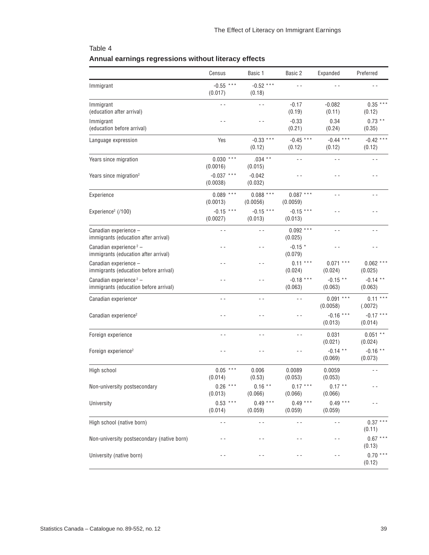<span id="page-40-0"></span>

| Table 4                                              |  |
|------------------------------------------------------|--|
| Annual earnings regressions without literacy effects |  |

|                                                                             | Census                   | Basic 1                  | Basic 2                  | Expanded               | Preferred                |
|-----------------------------------------------------------------------------|--------------------------|--------------------------|--------------------------|------------------------|--------------------------|
| Immigrant                                                                   | $-0.55$ ***<br>(0.017)   | $-0.52$ ***<br>(0.18)    | - -                      | $ -$                   |                          |
| Immigrant<br>(education after arrival)                                      | - -                      |                          | $-0.17$<br>(0.19)        | $-0.082$<br>(0.11)     | $0.35***$<br>(0.12)      |
| Immigrant<br>(education before arrival)                                     | $\overline{\phantom{a}}$ | - -                      | $-0.33$<br>(0.21)        | 0.34<br>(0.24)         | $0.73$ **<br>(0.35)      |
| Language expression                                                         | Yes                      | $-0.33$ ***<br>(0.12)    | $-0.45$ ***<br>(0.12)    | $-0.44$ ***<br>(0.12)  | $-0.42$ ***<br>(0.12)    |
| Years since migration                                                       | $0.030***$<br>(0.0016)   | $.034**$<br>(0.015)      | $\overline{a}$           | $\sim$ $\sim$          | $\overline{a}$           |
| Years since migration <sup>2</sup>                                          | $-0.037$ ***<br>(0.0038) | $-0.042$<br>(0.032)      | - -                      | ٠.                     | $ -$                     |
| Experience                                                                  | $0.089$ ***<br>(0.0013)  | $0.088***$<br>(0.0056)   | $0.087***$<br>(0.0059)   | $\sim$ $\sim$          | $\overline{\phantom{0}}$ |
| Experience <sup>2</sup> (/100)                                              | $-0.15$ ***<br>(0.0027)  | $-0.15***$<br>(0.013)    | $-0.15***$<br>(0.013)    | $ -$                   | $ -$                     |
| Canadian experience -<br>immigrants (education after arrival)               | - -                      |                          | $0.092$ ***<br>(0.025)   |                        |                          |
| Canadian experience <sup>2</sup> -<br>immigrants (education after arrival)  | . .                      | - -                      | $-0.15$ *<br>(0.079)     |                        |                          |
| Canadian experience -<br>immigrants (education before arrival)              | . .                      | - -                      | $0.11***$<br>(0.024)     | $0.071***$<br>(0.024)  | $0.062$ ***<br>(0.025)   |
| Canadian experience <sup>2</sup> -<br>immigrants (education before arrival) |                          |                          | $-0.18***$<br>(0.063)    | $-0.15$ **<br>(0.063)  | $-0.14$ **<br>(0.063)    |
| Canadian experience <sup>a</sup>                                            | $ -$                     | $ -$                     | - -                      | $0.091***$<br>(0.0058) | $0.11***$<br>(.0072)     |
| Canadian experience <sup>2</sup>                                            | $ -$                     |                          | $\overline{\phantom{a}}$ | $-0.16$ ***<br>(0.013) | $-0.17***$<br>(0.014)    |
| Foreign experience                                                          | - -                      |                          | $\overline{a}$           | 0.031<br>(0.021)       | $0.051**$<br>(0.024)     |
| Foreign experience <sup>2</sup>                                             | - -                      |                          | - -                      | $-0.14$ **<br>(0.069)  | $-0.16$ **<br>(0.073)    |
| High school                                                                 | $0.05$ ***<br>(0.014)    | 0.006<br>(0.53)          | 0.0089<br>(0.053)        | 0.0059<br>(0.053)      | . .                      |
| Non-university postsecondary                                                | $0.26$ ***<br>(0.013)    | $0.16**$<br>(0.066)      | $0.17***$<br>(0.066)     | $0.17**$<br>(0.066)    | - -                      |
| University                                                                  | $0.53***$<br>(0.014)     | $0.49***$<br>(0.059)     | $0.49***$<br>(0.059)     | $0.49***$<br>(0.059)   |                          |
| High school (native born)                                                   | $\overline{\phantom{a}}$ | $\overline{\phantom{a}}$ | $\sim$ $\sim$            | $\sim$ $\sim$          | $0.37***$<br>(0.11)      |
| Non-university postsecondary (native born)                                  | - -                      |                          |                          | $ -$                   | $0.67***$<br>(0.13)      |
| University (native born)                                                    | $ -$                     | $ -$                     | $ -$                     | $\sim$ $\sim$          | $0.70***$<br>(0.12)      |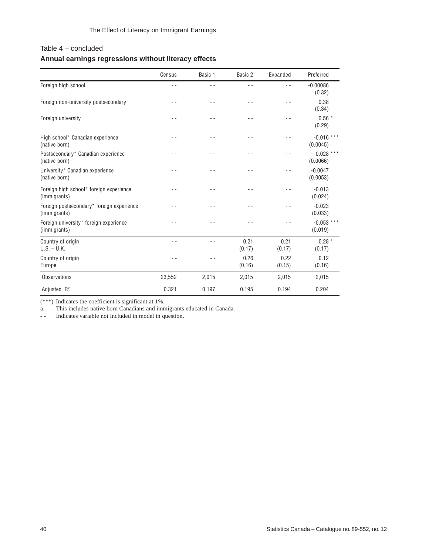#### Table 4 – concluded

### **Annual earnings regressions without literacy effects**

|                                                           | Census | Basic 1       | Basic 2        | Expanded       | Preferred                |
|-----------------------------------------------------------|--------|---------------|----------------|----------------|--------------------------|
| Foreign high school                                       | $ -$   | $\sim$ $\sim$ | - -            | - -            | $-0.00086$<br>(0.32)     |
| Foreign non-university postsecondary                      | - -    | . .           | - -            | - -            | 0.38<br>(0.34)           |
| Foreign university                                        | $ -$   | - -           | . .            |                | $0.56*$<br>(0.29)        |
| High school* Canadian experience<br>(native born)         | - -    | . .           |                |                | $-0.016$ ***<br>(0.0045) |
| Postsecondary* Canadian experience<br>(native born)       |        |               |                |                | $-0.028$ ***<br>(0.0066) |
| University* Canadian experience<br>(native born)          | - -    | . .           |                | - -            | $-0.0047$<br>(0.0053)    |
| Foreign high school* foreign experience<br>(immigrants)   |        |               |                |                | $-0.013$<br>(0.024)      |
| Foreign postsecondary* foreign experience<br>(immigrants) |        |               |                | - -            | $-0.023$<br>(0.033)      |
| Foreign university* foreign experience<br>(immigrants)    |        |               |                |                | $-0.053$ ***<br>(0.019)  |
| Country of origin<br>$U.S. - U.K.$                        | - -    | . .           | 0.21<br>(0.17) | 0.21<br>(0.17) | $0.28 *$<br>(0.17)       |
| Country of origin<br>Europe                               | - -    |               | 0.26<br>(0.16) | 0.22<br>(0.15) | 0.12<br>(0.16)           |
| <b>Observations</b>                                       | 23,552 | 2,015         | 2,015          | 2,015          | 2,015                    |
| Adjusted R <sup>2</sup>                                   | 0.321  | 0.197         | 0.195          | 0.194          | 0.204                    |

(\*\*\*) Indicates the coefficient is significant at 1%.

a. This includes native born Canadians and immigrants educated in Canada.

- - Indicates variable not included in model in question.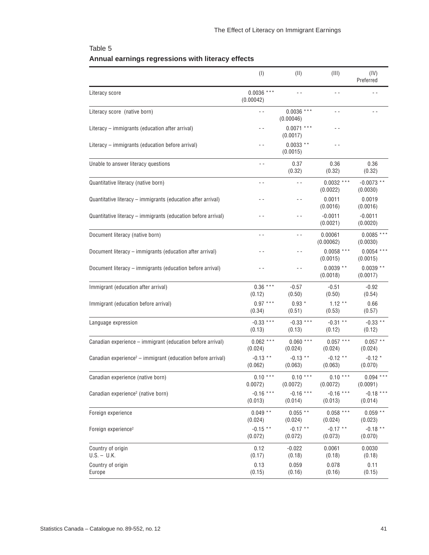|                                                                         | (1)                       | (11)                      | (III)                    | (IV)<br>Preferred        |
|-------------------------------------------------------------------------|---------------------------|---------------------------|--------------------------|--------------------------|
| Literacy score                                                          | $0.0036$ ***<br>(0.00042) |                           | $\overline{a}$           |                          |
| Literacy score (native born)                                            | $\overline{a}$            | $0.0036$ ***<br>(0.00046) | $-$                      |                          |
| Literacy - immigrants (education after arrival)                         | - -                       | $0.0071$ ***<br>(0.0017)  | $\overline{a}$           |                          |
| Literacy - immigrants (education before arrival)                        | - -                       | $0.0033**$<br>(0.0015)    | $\overline{a}$           |                          |
| Unable to answer literacy questions                                     | - -                       | 0.37<br>(0.32)            | 0.36<br>(0.32)           | 0.36<br>(0.32)           |
| Quantitative literacy (native born)                                     | $\overline{\phantom{a}}$  | $\sim$ $\sim$             | $0.0032$ ***<br>(0.0022) | $-0.0073$ **<br>(0.0030) |
| Quantitative literacy - immigrants (education after arrival)            | - -                       | $ -$                      | 0.0011<br>(0.0016)       | 0.0019<br>(0.0016)       |
| Quantitative literacy - immigrants (education before arrival)           | - -                       | $\sim$ $\sim$             | $-0.0011$<br>(0.0021)    | $-0.0011$<br>(0.0020)    |
| Document literacy (native born)                                         | - -                       | $\sim$ $\sim$             | 0.00061<br>(0.00062)     | $0.0085$ ***<br>(0.0030) |
| Document literacy - immigrants (education after arrival)                |                           | - -                       | $0.0058$ ***<br>(0.0015) | $0.0054$ ***<br>(0.0015) |
| Document literacy - immigrants (education before arrival)               |                           | $\sim$ $\sim$             | $0.0039**$<br>(0.0018)   | $0.0039**$<br>(0.0017)   |
| Immigrant (education after arrival)                                     | $0.36***$<br>(0.12)       | $-0.57$<br>(0.50)         | $-0.51$<br>(0.50)        | $-0.92$<br>(0.54)        |
| Immigrant (education before arrival)                                    | $0.97***$<br>(0.34)       | $0.93*$<br>(0.51)         | $1.12**$<br>(0.53)       | 0.66<br>(0.57)           |
| Language expression                                                     | $-0.33$ ***<br>(0.13)     | $-0.33$ ***<br>(0.13)     | $-0.31**$<br>(0.12)      | $-0.33$ **<br>(0.12)     |
| Canadian experience - immigrant (education before arrival)              | $0.062$ ***<br>(0.024)    | $0.060$ ***<br>(0.024)    | $0.057***$<br>(0.024)    | $0.057**$<br>(0.024)     |
| Canadian experience <sup>2</sup> – immigrant (education before arrival) | $-0.13$ **<br>(0.062)     | $-0.13$ **<br>(0.063)     | $-0.12**$<br>(0.063)     | $-0.12$ *<br>(0.070)     |
| Canadian experience (native born)                                       | $0.10***$<br>0.0072)      | $0.10***$<br>(0.0072)     | $0.10***$<br>(0.0072)    | $0.094$ ***<br>(0.0091)  |
| Canadian experience <sup>2</sup> (native born)                          | $-0.16$ ***<br>(0.013)    | $-0.16***$<br>(0.014)     | $-0.16***$<br>(0.013)    | $-0.18***$<br>(0.014)    |
| Foreign experience                                                      | $0.049**$<br>(0.024)      | $0.055**$<br>(0.024)      | $0.058***$<br>(0.024)    | $0.059**$<br>(0.023)     |
| Foreign experience <sup>2</sup>                                         | $-0.15$ **<br>(0.072)     | $-0.17**$<br>(0.072)      | $-0.17**$<br>(0.073)     | $-0.18$ **<br>(0.070)    |
| Country of origin<br>$U.S. - U.K.$                                      | 0.12<br>(0.17)            | $-0.022$<br>(0.18)        | 0.0061<br>(0.18)         | 0.0030<br>(0.18)         |
| Country of origin<br>Europe                                             | 0.13<br>(0.15)            | 0.059<br>(0.16)           | 0.078<br>(0.16)          | 0.11<br>(0.15)           |

### <span id="page-42-0"></span>Table 5 **Annual earnings regressions with literacy effects**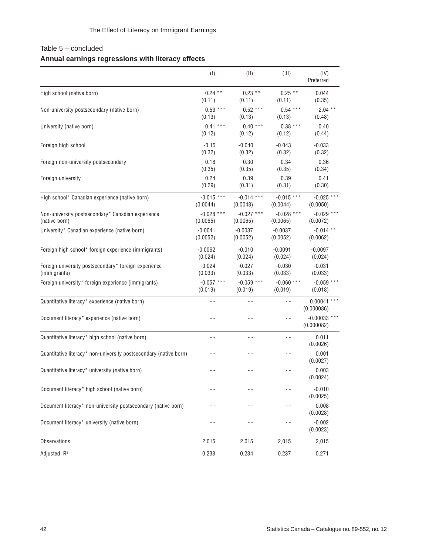#### Table 5 – concluded

### **Annual earnings regressions with literacy effects**

|                                                                   | (1)          | (11)          | (III)                    | (IV)<br>Preferred            |
|-------------------------------------------------------------------|--------------|---------------|--------------------------|------------------------------|
| High school (native born)                                         | $0.24$ **    | $0.23$ **     | $0.25**$                 | 0.044                        |
|                                                                   | (0.11)       | (0.11)        | (0.11)                   | (0.35)                       |
| Non-university postsecondary (native born)                        | $0.53***$    | $0.52***$     | $0.54***$                | $-2.04$ **                   |
|                                                                   | (0.13)       | (0.13)        | (0.13)                   | (0.48)                       |
| University (native born)                                          | $0.41***$    | $0.40***$     | $0.38***$                | 0.40                         |
|                                                                   | (0.12)       | (0.12)        | (0.12)                   | (0.44)                       |
| Foreign high school                                               | $-0.15$      | $-0.040$      | $-0.043$                 | $-0.033$                     |
|                                                                   | (0.32)       | (0.32)        | (0.32)                   | (0.32)                       |
| Foreign non-university postsecondary                              | 0.18         | 0.30          | 0.34                     | 0.36                         |
|                                                                   | (0.35)       | (0.35)        | (0.35)                   | (0.34)                       |
| Foreign university                                                | 0.24         | 0.39          | 0.39                     | 0.41                         |
|                                                                   | (0.29)       | (0.31)        | (0.31)                   | (0.30)                       |
| High school* Canadian experience (native born)                    | $-0.015$ *** | $-0.014$ ***  | $-0.015$ ***             | $-0.025$ ***                 |
|                                                                   | (0.0044)     | (0.0043)      | (0.0044)                 | (0.0050)                     |
| Non-university postsecondary* Canadian experience                 | $-0.028$ *** | $-0.027$ ***  | $-0.028$ ***             | $-0.029$ ***                 |
| (native born)                                                     | (0.0065)     | (0.0065)      | (0.0065)                 | (0.0072)                     |
| University* Canadian experience (native born)                     | $-0.0041$    | $-0.0037$     | $-0.0037$                | $-0.014$ **                  |
|                                                                   | (0.0052)     | (0.0052)      | (0.0052)                 | (0.0062)                     |
| Foreign high school* foreign experience (immigrants)              | $-0.0062$    | $-0.010$      | $-0.0091$                | $-0.0097$                    |
|                                                                   | (0.024)      | (0.024)       | (0.024)                  | (0.024)                      |
| Foreign university postsecondary* foreign experience              | $-0.024$     | $-0.027$      | $-0.030$                 | $-0.031$                     |
| (immigrants)                                                      | (0.033)      | (0.033)       | (0.033)                  | (0.033)                      |
| Foreign university* foreign experience (immigrants)               | $-0.057$ *** | $-0.059$ ***  | $-0.060$ ***             | $-0.059$ ***                 |
|                                                                   | (0.019)      | (0.019)       | (0.019)                  | (0.018)                      |
| Quantitative literacy* experience (native born)                   | $ -$         | $ -$          | $\overline{\phantom{a}}$ | $0.00041$ ***<br>(0.000086)  |
| Document literacy* experience (native born)                       | $ -$         | $\sim$ $\sim$ | $ -$                     | $-0.00033$ ***<br>(0.000082) |
| Quantitative literacy* high school (native born)                  | - -          | $ -$          | $ -$                     | 0.011<br>(0.0026)            |
| Quantitative literacy* non-university postsecondary (native born) |              |               | $\overline{a}$           | 0.001<br>(0.0027)            |
| Quantitative literacy* university (native born)                   |              |               |                          | 0.003<br>(0.0024)            |
| Document literacy* high school (native born)                      | - -          | $ -$          | $ -$                     | $-0.010$<br>(0.0025)         |
| Document literacy* non-university postsecondary (native born)     |              |               |                          | 0.008<br>(0.0028)            |
| Document literacy* university (native born)                       |              | $ -$          |                          | $-0.002$<br>(0.0023)         |
| <b>Observations</b>                                               | 2,015        | 2,015         | 2,015                    | 2,015                        |
| Adjusted R <sup>2</sup>                                           | 0.233        | 0.234         | 0.237                    | 0.271                        |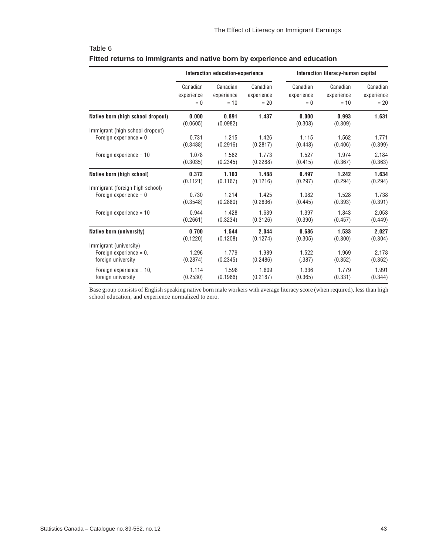#### <span id="page-44-0"></span>Table 6

| Fitted returns to immigrants and native born by experience and education |  |  |  |  |  |  |
|--------------------------------------------------------------------------|--|--|--|--|--|--|
|--------------------------------------------------------------------------|--|--|--|--|--|--|

|                                                                            | Interaction education-experience |                   |                   |                  | Interaction literacy-human capital |                  |
|----------------------------------------------------------------------------|----------------------------------|-------------------|-------------------|------------------|------------------------------------|------------------|
|                                                                            | Canadian                         | Canadian          | Canadian          | Canadian         | Canadian                           | Canadian         |
|                                                                            | experience                       | experience        | experience        | experience       | experience                         | experience       |
|                                                                            | $= 0$                            | $= 10$            | $= 20$            | $= 0$            | $= 10$                             | $= 20$           |
| Native born (high school dropout)                                          | 0.000<br>(0.0605)                | 0.891<br>(0.0982) | 1.437             | 0.000<br>(0.308) | 0.993<br>(0.309)                   | 1.631            |
| Immigrant (high school dropout)                                            | 0.731                            | 1.215             | 1.426             | 1.115            | 1.562                              | 1.771            |
| Foreign experience = $0$                                                   | (0.3488)                         | (0.2916)          | (0.2817)          | (0.448)          | (0.406)                            | (0.399)          |
| Foreign experience $= 10$                                                  | 1.078                            | 1.562             | 1.773             | 1.527            | 1.974                              | 2.184            |
|                                                                            | (0.3035)                         | (0.2345)          | (0.2288)          | (0.415)          | (0.367)                            | (0.363)          |
| Native born (high school)                                                  | 0.372                            | 1.103             | 1.488             | 0.497            | 1.242                              | 1.634            |
|                                                                            | (0.1121)                         | (0.1167)          | (0.1216)          | (0.297)          | (0.294)                            | (0.294)          |
| Immigrant (foreign high school)                                            | 0.730                            | 1.214             | 1.425             | 1.082            | 1.528                              | 1.738            |
| Foreign experience = $0$                                                   | (0.3548)                         | (0.2880)          | (0.2836)          | (0.445)          | (0.393)                            | (0.391)          |
| Foreign experience $= 10$                                                  | 0.944                            | 1.428             | 1.639             | 1.397            | 1.843                              | 2.053            |
|                                                                            | (0.2661)                         | (0.3234)          | (0.3126)          | (0.390)          | (0.457)                            | (0.449)          |
| Native born (university)                                                   | 0.700                            | 1.544             | 2.044             | 0.686            | 1.533                              | 2.027            |
|                                                                            | (0.1220)                         | (0.1208)          | (0.1274)          | (0.305)          | (0.300)                            | (0.304)          |
| Immigrant (university)<br>Foreian experience $= 0$ .<br>foreign university | 1.296<br>(0.2874)                | 1.779<br>(0.2345) | 1.989<br>(0.2486) | 1.522<br>(.387)  | 1.969<br>(0.352)                   | 2.178<br>(0.362) |
| Foreign experience $= 10$ ,                                                | 1.114                            | 1.598             | 1.809             | 1.336            | 1.779                              | 1.991            |
| foreign university                                                         | (0.2530)                         | (0.1966)          | (0.2187)          | (0.365)          | (0.331)                            | (0.344)          |

Base group consists of English speaking native born male workers with average literacy score (when required), less than high school education, and experience normalized to zero.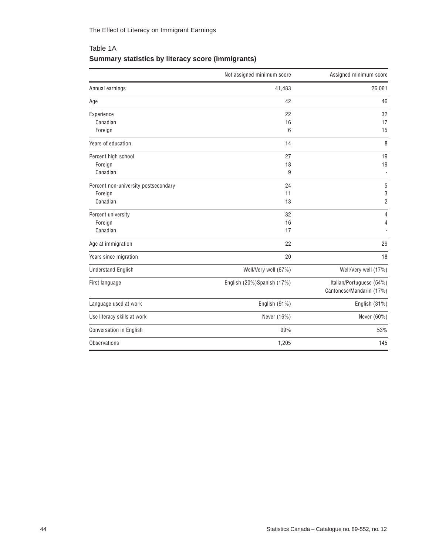### <span id="page-45-0"></span>Table 1A **Summary statistics by literacy score (immigrants)**

|                                      | Not assigned minimum score | Assigned minimum score   |
|--------------------------------------|----------------------------|--------------------------|
| Annual earnings                      | 41,483                     | 26,061                   |
| Age                                  | 42                         | 46                       |
| Experience                           | 22                         | 32                       |
| Canadian                             | 16                         | 17                       |
| Foreign                              | 6                          | 15                       |
| Years of education                   | 14                         | 8                        |
| Percent high school                  | 27                         | 19                       |
| Foreign                              | 18                         | 19                       |
| Canadian                             | 9                          | ÷,                       |
| Percent non-university postsecondary | 24                         | 5                        |
| Foreign                              | 11                         | 3                        |
| Canadian                             | 13                         | $\overline{2}$           |
| Percent university                   | 32                         | $\overline{4}$           |
| Foreign                              | 16                         | $\overline{4}$           |
| Canadian                             | 17                         |                          |
| Age at immigration                   | 22                         | 29                       |
| Years since migration                | 20                         | 18                       |
| <b>Understand English</b>            | Well/Very well (67%)       | Well/Very well (17%)     |
| First language                       | English (20%)Spanish (17%) | Italian/Portuguese (54%) |
|                                      |                            | Cantonese/Mandarin (17%) |
| Language used at work                | English (91%)              | English (31%)            |
| Use literacy skills at work          | Never (16%)                | Never (60%)              |
| Conversation in English              | 99%                        | 53%                      |
| <b>Observations</b>                  | 1,205                      | 145                      |